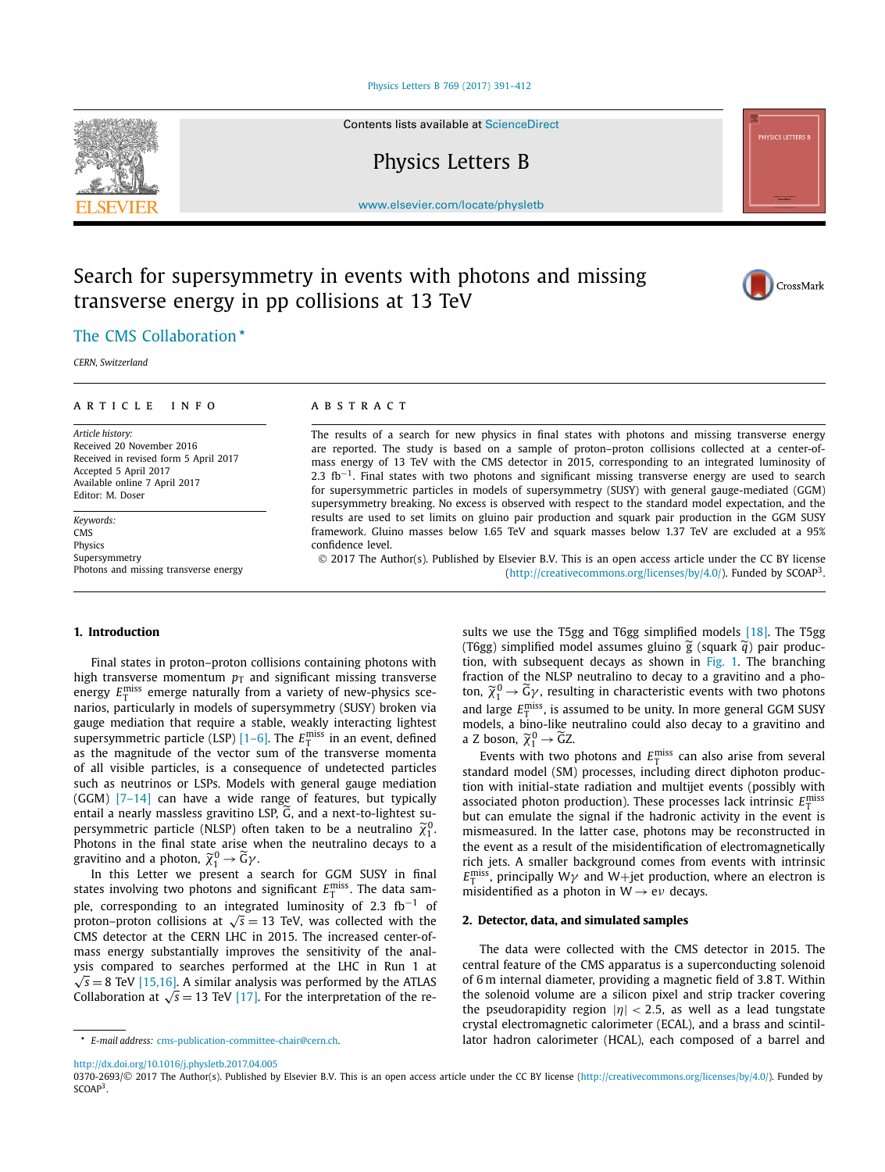#### [Physics Letters B 769 \(2017\) 391–412](http://dx.doi.org/10.1016/j.physletb.2017.04.005)

Contents lists available at [ScienceDirect](http://www.ScienceDirect.com/)

Physics Letters B

[www.elsevier.com/locate/physletb](http://www.elsevier.com/locate/physletb)

# Search for supersymmetry in events with photons and missing transverse energy in pp collisions at 13 TeV

# .The CMS [Collaboration](#page-6-0) *-*

*CERN, Switzerland*

#### A R T I C L E I N F O A B S T R A C T

*Article history:* Received 20 November 2016 Received in revised form 5 April 2017 Accepted 5 April 2017 Available online 7 April 2017 Editor: M. Doser

*Keywords:* CMS Physics Supersymmetry Photons and missing transverse energy

The results of a search for new physics in final states with photons and missing transverse energy are reported. The study is based on a sample of proton–proton collisions collected at a center-ofmass energy of 13 TeV with the CMS detector in 2015, corresponding to an integrated luminosity of 2.3 fb<sup>-1</sup>. Final states with two photons and significant missing transverse energy are used to search for supersymmetric particles in models of supersymmetry (SUSY) with general gauge-mediated (GGM) supersymmetry breaking. No excess is observed with respect to the standard model expectation, and the results are used to set limits on gluino pair production and squark pair production in the GGM SUSY framework. Gluino masses below 1.65 TeV and squark masses below 1.37 TeV are excluded at a 95% confidence level.

© 2017 The Author(s). Published by Elsevier B.V. This is an open access article under the CC BY license [\(http://creativecommons.org/licenses/by/4.0/\)](http://creativecommons.org/licenses/by/4.0/). Funded by SCOAP3.

#### **1. Introduction**

Final states in proton–proton collisions containing photons with high transverse momentum  $p<sub>T</sub>$  and significant missing transverse energy  $E_{\rm T}^{\rm miss}$  emerge naturally from a variety of new-physics scenarios, particularly in models of supersymmetry (SUSY) broken via gauge mediation that require a stable, weakly interacting lightest supersymmetric particle (LSP)  $[1-6]$ . The  $E_{\rm T}^{\rm miss}$  in an event, defined as the magnitude of the vector sum of the transverse momenta of all visible particles, is a consequence of undetected particles such as neutrinos or LSPs. Models with general gauge mediation (GGM) [\[7–14\]](#page-5-0) can have a wide range of features, but typically entail a nearly massless gravitino LSP, G, and a next-to-lightest supersymmetric particle (NLSP) often taken to be a neutralino  $\widetilde{\chi}_1^0$ . Photons in the final state arise when the neutralino decays to a gravitino and a photon,  $\widetilde{\chi}_1^0 \rightarrow \widetilde{G}\gamma$ .

In this Letter we present a search for GGM SUSY in final states involving two photons and significant  $E_{\textrm{T}}^{\textrm{miss}}$ . The data sample, corresponding to an integrated luminosity of 2.3 fb<sup>-1</sup> of proton–proton collisions at  $\sqrt{s} = 13$  TeV, was collected with the CMS detector at the CERN LHC in 2015. The increased center-ofmass energy substantially improves the sensitivity of the analysis compared to searches performed at the LHC in Run 1 at  $\sqrt{s}$  = 8 TeV [\[15,16\].](#page-5-0) A similar analysis was performed by the ATLAS Collaboration at  $\sqrt{s}$  = 13 TeV [\[17\].](#page-5-0) For the interpretation of the results we use the T5gg and T6gg simplified models [\[18\].](#page-5-0) The T5gg (T6gg) simplified model assumes gluino  $\tilde{g}$  (squark  $\tilde{q}$ ) pair production, with subsequent decays as shown in [Fig. 1.](#page-1-0) The branching fraction of the NLSP neutralino to decay to a gravitino and a photon,  $\widetilde{\chi}_1^0 \rightarrow \widetilde{\mathsf{G}} \gamma$ , resulting in characteristic events with two photons and large  $E_T^{\text{miss}}$ , is assumed to be unity. In more general GGM SUSY models, a bino-like neutralino could also decay to a gravitino and a Z boson,  $\widetilde{\chi}_1^0 \rightarrow \widetilde{G}Z$ .

Events with two photons and  $E_{\text{T}}^{\text{miss}}$  can also arise from several standard model (SM) processes, including direct diphoton production with initial-state radiation and multijet events (possibly with associated photon production). These processes lack intrinsic  $E_{\text{T}}^{\text{miss}}$ but can emulate the signal if the hadronic activity in the event is mismeasured. In the latter case, photons may be reconstructed in the event as a result of the misidentification of electromagnetically rich jets. A smaller background comes from events with intrinsic  $E_{\text{T}}^{\text{miss}}$ , principally W $\gamma$  and W+jet production, where an electron is misidentified as <sup>a</sup> photon in <sup>W</sup> → <sup>e</sup>*ν* decays.

#### **2. Detector, data, and simulated samples**

The data were collected with the CMS detector in 2015. The central feature of the CMS apparatus is a superconducting solenoid of 6 m internal diameter, providing a magnetic field of 3.8 T. Within the solenoid volume are a silicon pixel and strip tracker covering the pseudorapidity region |*η*| *<* <sup>2</sup>*.*5, as well as <sup>a</sup> lead tungstate crystal electromagnetic calorimeter (ECAL), and a brass and scintillator hadron calorimeter (HCAL), each composed of a barrel and

<span id="page-0-0"></span>





*<sup>-</sup> E-mail address:* [cms-publication-committee-chair@cern.ch](mailto:cms-publication-committee-chair@cern.ch).

<http://dx.doi.org/10.1016/j.physletb.2017.04.005>

<sup>0370-2693/© 2017</sup> The Author(s). Published by Elsevier B.V. This is an open access article under the CC BY license [\(http://creativecommons.org/licenses/by/4.0/](http://creativecommons.org/licenses/by/4.0/)). Funded by SCOAP<sup>3</sup>.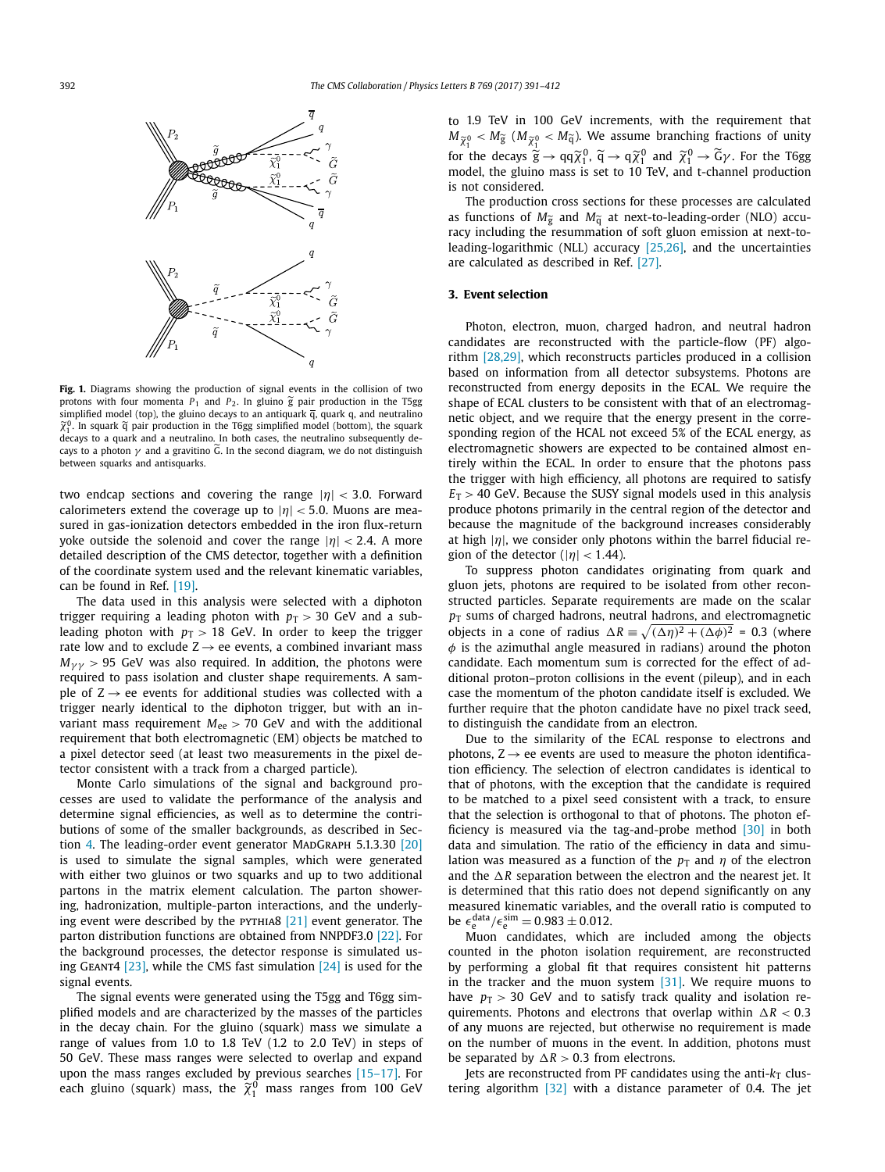<span id="page-1-0"></span>

**Fig. 1.** Diagrams showing the production of signal events in the collision of two protons with four momenta  $P_1$  and  $P_2$ . In gluino  $\tilde{g}$  pair production in the T5gg simplified model (top), the gluino decays to an antiquark  $\overline{q}$ , quark q, and neutralino  $\widetilde{\chi}_1^0$ . In squark  $\widetilde{q}$  pair production in the T6gg simplified model (bottom), the squark decays to a quark and a neutralino. In both cases, the neutralino subsequently decays to a photon  $\gamma$  and a gravitino  $\tilde{G}$ . In the second diagram, we do not distinguish between squarks and antisquarks.

two endcap sections and covering the range |*η*| *<* <sup>3</sup>*.*0. Forward calorimeters extend the coverage up to  $|\eta|$  < 5.0. Muons are measured in gas-ionization detectors embedded in the iron flux-return yoke outside the solenoid and cover the range |*η*| *<* <sup>2</sup>*.*4. <sup>A</sup> more detailed description of the CMS detector, together with a definition of the coordinate system used and the relevant kinematic variables, can be found in Ref. [\[19\].](#page-5-0)

The data used in this analysis were selected with a diphoton trigger requiring a leading photon with  $p<sub>T</sub> > 30$  GeV and a subleading photon with  $p_T > 18$  GeV. In order to keep the trigger rate low and to exclude  $Z \rightarrow ee$  events, a combined invariant mass  $M_{\gamma\gamma}$  > 95 GeV was also required. In addition, the photons were required to pass isolation and cluster shape requirements. A sample of  $Z \rightarrow$  ee events for additional studies was collected with a trigger nearly identical to the diphoton trigger, but with an invariant mass requirement  $M_{ee}$  > 70 GeV and with the additional requirement that both electromagnetic (EM) objects be matched to a pixel detector seed (at least two measurements in the pixel detector consistent with a track from a charged particle).

Monte Carlo simulations of the signal and background processes are used to validate the performance of the analysis and determine signal efficiencies, as well as to determine the contributions of some of the smaller backgrounds, as described in Sec-tion [4.](#page-2-0) The leading-order event generator MADGRAPH 5.1.3.30  $[20]$ is used to simulate the signal samples, which were generated with either two gluinos or two squarks and up to two additional partons in the matrix element calculation. The parton showering, hadronization, multiple-parton interactions, and the underlying event were described by the PYTHIA8  $[21]$  event generator. The parton distribution functions are obtained from NNPDF3.0 [\[22\].](#page-5-0) For the background processes, the detector response is simulated using Geant4 [\[23\],](#page-5-0) while the CMS fast simulation [\[24\]](#page-5-0) is used for the signal events.

The signal events were generated using the T5gg and T6gg simplified models and are characterized by the masses of the particles in the decay chain. For the gluino (squark) mass we simulate a range of values from 1.0 to 1.8 TeV (1.2 to 2.0 TeV) in steps of 50 GeV. These mass ranges were selected to overlap and expand upon the mass ranges excluded by previous searches [\[15–17\].](#page-5-0) For each gluino (squark) mass, the  $\widetilde{\chi}_1^0$  mass ranges from 100 GeV

to 1.9 TeV in 100 GeV increments, with the requirement that  $M_{\widetilde{\chi}_1^0} < M_{\widetilde{g}} (M_{\widetilde{\chi}_1^0} < M_{\widetilde{q}})$ . We assume branching fractions of unity for the decays  $\tilde{g} \to qq\tilde{\chi}_1^0$ ,  $\tilde{q} \to q\tilde{\chi}_1^0$  and  $\tilde{\chi}_1^0 \to \tilde{G}\gamma$ . For the T6gg model, the gluino mass is set to 10 TeV, and t-channel production is not considered.

The production cross sections for these processes are calculated as functions of  $M_{\widetilde{g}}$  and  $M_{\widetilde{q}}$  at next-to-leading-order (NLO) accuracy including the resummation of soft gluon emission at next-toleading-logarithmic (NLL) accuracy [\[25,26\],](#page-5-0) and the uncertainties are calculated as described in Ref. [\[27\].](#page-5-0)

#### **3. Event selection**

Photon, electron, muon, charged hadron, and neutral hadron candidates are reconstructed with the particle-flow (PF) algorithm [\[28,29\],](#page-5-0) which reconstructs particles produced in a collision based on information from all detector subsystems. Photons are reconstructed from energy deposits in the ECAL. We require the shape of ECAL clusters to be consistent with that of an electromagnetic object, and we require that the energy present in the corresponding region of the HCAL not exceed 5% of the ECAL energy, as electromagnetic showers are expected to be contained almost entirely within the ECAL. In order to ensure that the photons pass the trigger with high efficiency, all photons are required to satisfy  $E_T$  > 40 GeV. Because the SUSY signal models used in this analysis produce photons primarily in the central region of the detector and because the magnitude of the background increases considerably at high  $|\eta|$ , we consider only photons within the barrel fiducial region of the detector  $(|\eta| < 1.44)$ .

To suppress photon candidates originating from quark and gluon jets, photons are required to be isolated from other reconstructed particles. Separate requirements are made on the scalar  $p<sub>T</sub>$  sums of charged hadrons, neutral hadrons, and electromagnetic objects in a cone of radius  $\Delta R = \sqrt{(\Delta \eta)^2 + (\Delta \phi)^2} = 0.3$  (where  $\phi$  is the azimuthal angle measured in radians) around the photon candidate. Each momentum sum is corrected for the effect of additional proton–proton collisions in the event (pileup), and in each case the momentum of the photon candidate itself is excluded. We further require that the photon candidate have no pixel track seed, to distinguish the candidate from an electron.

Due to the similarity of the ECAL response to electrons and photons,  $Z \rightarrow ee$  events are used to measure the photon identification efficiency. The selection of electron candidates is identical to that of photons, with the exception that the candidate is required to be matched to a pixel seed consistent with a track, to ensure that the selection is orthogonal to that of photons. The photon ef-ficiency is measured via the tag-and-probe method [\[30\]](#page-5-0) in both data and simulation. The ratio of the efficiency in data and simulation was measured as a function of the  $p<sub>T</sub>$  and  $\eta$  of the electron and the  $\Delta R$  separation between the electron and the nearest jet. It is determined that this ratio does not depend significantly on any measured kinematic variables, and the overall ratio is computed to be  $\epsilon_{\rm e}^{\rm data}/\epsilon_{\rm e}^{\rm sim} = 0.983 \pm 0.012$ .

Muon candidates, which are included among the objects counted in the photon isolation requirement, are reconstructed by performing a global fit that requires consistent hit patterns in the tracker and the muon system  $[31]$ . We require muons to have  $p_T > 30$  GeV and to satisfy track quality and isolation requirements. Photons and electrons that overlap within  $\Delta R < 0.3$ of any muons are rejected, but otherwise no requirement is made on the number of muons in the event. In addition, photons must be separated by  $\Delta R > 0.3$  from electrons.

Jets are reconstructed from PF candidates using the anti- $k<sub>T</sub>$  clustering algorithm [\[32\]](#page-5-0) with a distance parameter of 0.4. The jet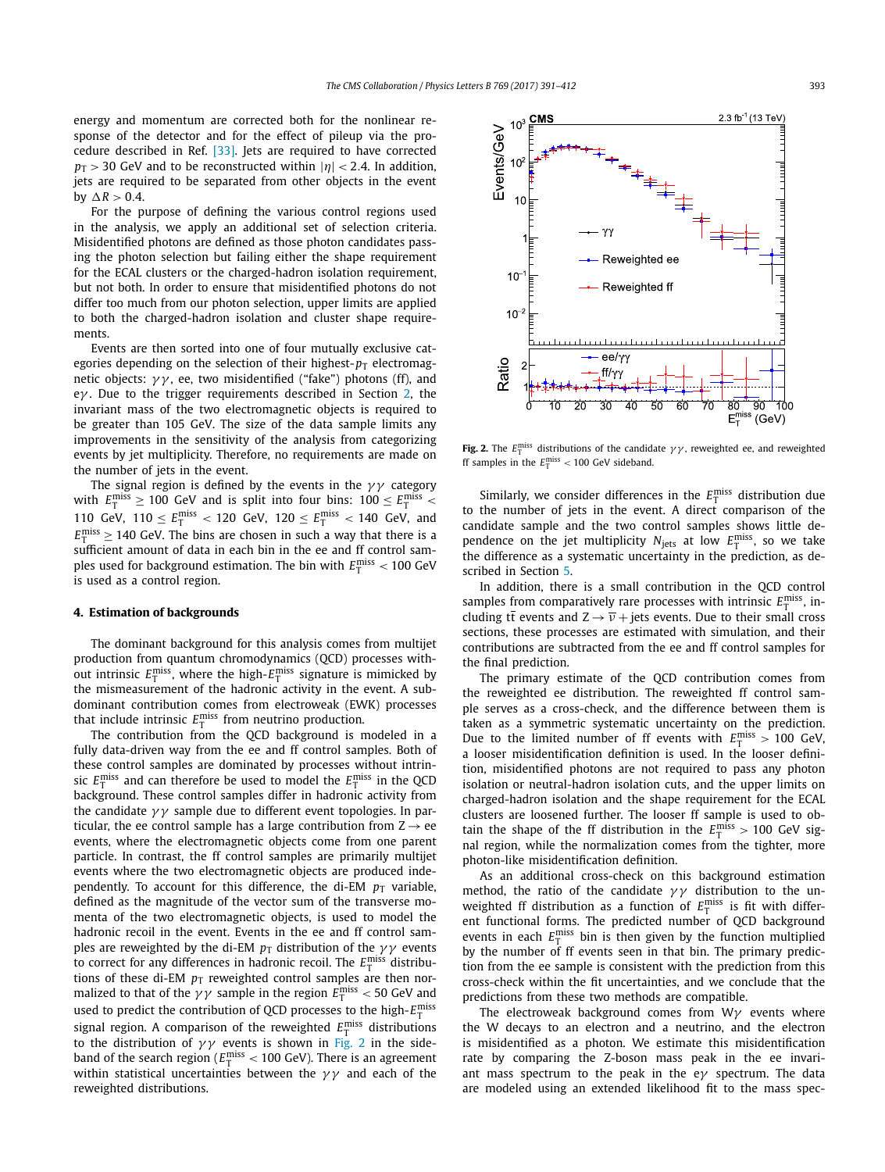<span id="page-2-0"></span>energy and momentum are corrected both for the nonlinear response of the detector and for the effect of pileup via the procedure described in Ref. [\[33\].](#page-5-0) Jets are required to have corrected  $p_T > 30$  GeV and to be reconstructed within  $|\eta| < 2.4$ . In addition, jets are required to be separated from other objects in the event by  $\Delta R > 0.4$ .

For the purpose of defining the various control regions used in the analysis, we apply an additional set of selection criteria. Misidentified photons are defined as those photon candidates passing the photon selection but failing either the shape requirement for the ECAL clusters or the charged-hadron isolation requirement, but not both. In order to ensure that misidentified photons do not differ too much from our photon selection, upper limits are applied to both the charged-hadron isolation and cluster shape requirements.

Events are then sorted into one of four mutually exclusive categories depending on the selection of their highest- $p_T$  electromagnetic objects: *γ γ* , ee, two misidentified ("fake") photons (ff), and e*γ* . Due to the trigger requirements described in Section [2,](#page-0-0) the invariant mass of the two electromagnetic objects is required to be greater than 105 GeV. The size of the data sample limits any improvements in the sensitivity of the analysis from categorizing events by jet multiplicity. Therefore, no requirements are made on the number of jets in the event.

The signal region is defined by the events in the *γ γ* category with  $E_{\text{T}}^{\text{miss}} \ge 100$  GeV and is split into four bins:  $100 \le E_{\text{T}}^{\text{miss}} <$ 110 GeV,  $110 \le E_T^{\text{miss}} < 120$  GeV,  $120 \le E_T^{\text{miss}} < 140$  GeV, and  $E_{\text{T}}^{\text{miss}} \geq 140$  GeV. The bins are chosen in such a way that there is a sufficient amount of data in each bin in the ee and ff control samples used for background estimation. The bin with  $E_{\rm T}^{\rm miss} < 100$  GeV is used as a control region.

#### **4. Estimation of backgrounds**

The dominant background for this analysis comes from multijet production from quantum chromodynamics (QCD) processes without intrinsic  $E_{\textrm{T}}^{\textrm{miss}}$ , where the high- $E_{\textrm{T}}^{\textrm{miss}}$  signature is mimicked by the mismeasurement of the hadronic activity in the event. A subdominant contribution comes from electroweak (EWK) processes that include intrinsic  $E_{\rm T}^{\rm miss}$  from neutrino production.

The contribution from the QCD background is modeled in a fully data-driven way from the ee and ff control samples. Both of these control samples are dominated by processes without intrinsic  $E_{\rm T}^{\rm miss}$  and can therefore be used to model the  $E_{\rm T}^{\rm miss}$  in the QCD background. These control samples differ in hadronic activity from the candidate *γ γ* sample due to different event topologies. In particular, the ee control sample has a large contribution from  $Z \rightarrow ee$ events, where the electromagnetic objects come from one parent particle. In contrast, the ff control samples are primarily multijet events where the two electromagnetic objects are produced independently. To account for this difference, the di-EM  $p_T$  variable, defined as the magnitude of the vector sum of the transverse momenta of the two electromagnetic objects, is used to model the hadronic recoil in the event. Events in the ee and ff control samples are reweighted by the di-EM  $p_T$  distribution of the  $\gamma\gamma$  events to correct for any differences in hadronic recoil. The  $E_{\rm T}^{\rm miss}$  distributions of these di-EM  $p_T$  reweighted control samples are then normalized to that of the  $\gamma\gamma$  sample in the region  $E_{\textrm{T}}^{\textrm{miss}} < 50$  GeV and used to predict the contribution of QCD processes to the high-*E*miss T signal region. A comparison of the reweighted  $E_{\rm T}^{\rm miss}$  distributions to the distribution of  $\gamma\gamma$  events is shown in Fig. 2 in the sideband of the search region ( $E_{\rm T}^{\rm miss} < 100$  GeV). There is an agreement within statistical uncertainties between the *γ γ* and each of the reweighted distributions.



**Fig. 2.** The  $E_T^{\text{miss}}$  distributions of the candidate  $\gamma \gamma$ , reweighted ee, and reweighted ff samples in the  $E_{\rm T}^{\rm miss}$  < 100 GeV sideband.

Similarly, we consider differences in the  $E_{\text{T}}^{\text{miss}}$  distribution due to the number of jets in the event. A direct comparison of the candidate sample and the two control samples shows little dependence on the jet multiplicity  $N_{\text{jets}}$  at low  $E_{\text{T}}^{\text{miss}}$ , so we take the difference as a systematic uncertainty in the prediction, as described in Section [5.](#page-3-0)

In addition, there is a small contribution in the QCD control samples from comparatively rare processes with intrinsic  $E_{\text{T}}^{\text{miss}}$ , including tt events and  $Z \rightarrow \overline{\nu}$  + jets events. Due to their small cross sections, these processes are estimated with simulation, and their contributions are subtracted from the ee and ff control samples for the final prediction.

The primary estimate of the QCD contribution comes from the reweighted ee distribution. The reweighted ff control sample serves as a cross-check, and the difference between them is taken as a symmetric systematic uncertainty on the prediction. Due to the limited number of ff events with  $E_{\text{T}}^{\text{miss}} > 100$  GeV, a looser misidentification definition is used. In the looser definition, misidentified photons are not required to pass any photon isolation or neutral-hadron isolation cuts, and the upper limits on charged-hadron isolation and the shape requirement for the ECAL clusters are loosened further. The looser ff sample is used to obtain the shape of the ff distribution in the  $E_T^{\text{miss}} > 100$  GeV signal region, while the normalization comes from the tighter, more photon-like misidentification definition.

As an additional cross-check on this background estimation method, the ratio of the candidate *γ γ* distribution to the unweighted ff distribution as a function of  $E_{\text{T}}^{\text{miss}}$  is fit with different functional forms. The predicted number of QCD background events in each  $E_{\text{T}}^{\text{miss}}$  bin is then given by the function multiplied by the number of ff events seen in that bin. The primary prediction from the ee sample is consistent with the prediction from this cross-check within the fit uncertainties, and we conclude that the predictions from these two methods are compatible.

The electroweak background comes from W*γ* events where the W decays to an electron and a neutrino, and the electron is misidentified as a photon. We estimate this misidentification rate by comparing the Z-boson mass peak in the ee invariant mass spectrum to the peak in the e*γ* spectrum. The data are modeled using an extended likelihood fit to the mass spec-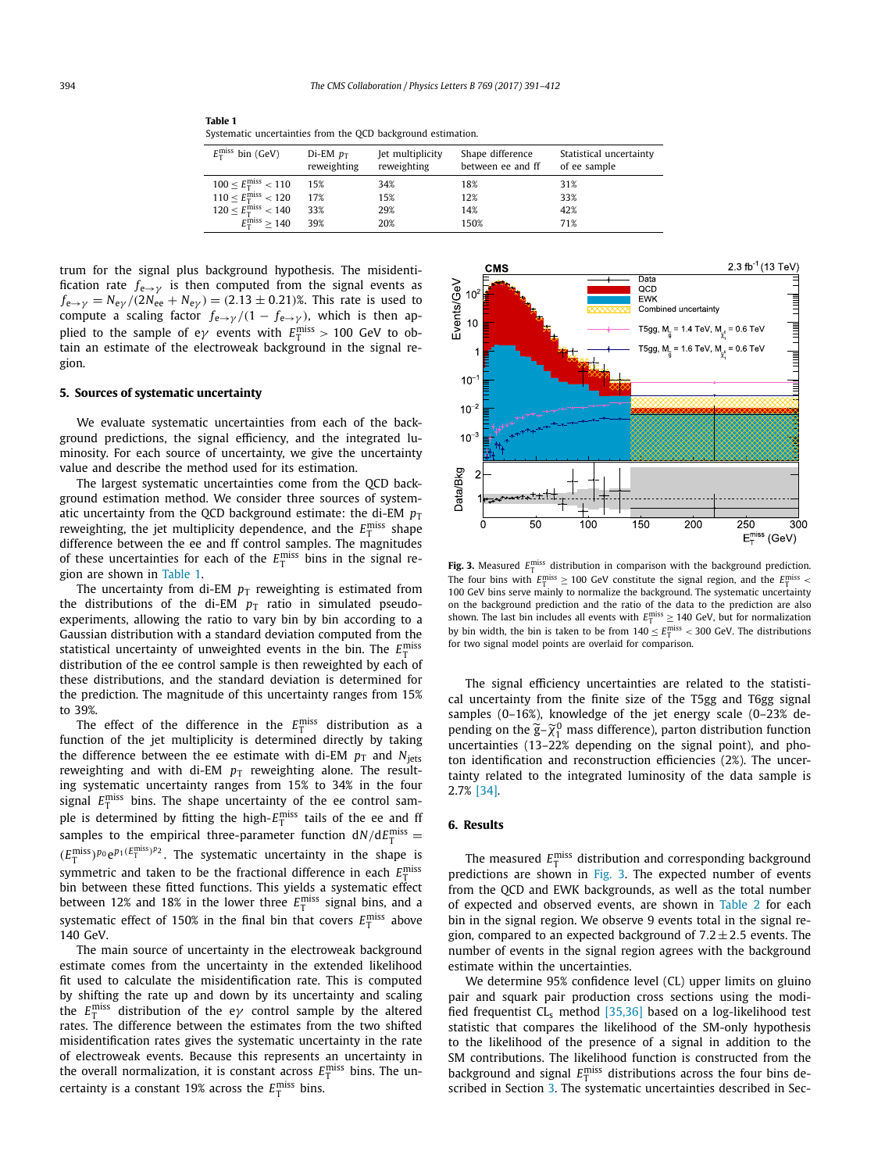| $E_{\rm T}^{\rm miss}$ bin (GeV)                    | Di-EM $p_T$<br>reweighting | Jet multiplicity<br>reweighting | Shape difference<br>between ee and ff | Statistical uncertainty<br>of ee sample |
|-----------------------------------------------------|----------------------------|---------------------------------|---------------------------------------|-----------------------------------------|
| $100 \le E_{\rm T}^{\rm miss} < 110$                | 15%                        | 34%                             | 18%                                   | 31%                                     |
| $110 \le \textit{E}_{\text{T}}^{\text{miss}} < 120$ | 17%                        | 15%                             | 12%                                   | 33%                                     |
| $120 \le E_{\rm T}^{\rm miss} < 140$                | 33%                        | 29%                             | 14%                                   | 42%                                     |
| $E_{\rm T}^{\rm miss} > 140$                        | 39%                        | 20%                             | 150%                                  | 71%                                     |

<span id="page-3-0"></span>**Table 1** Systematic uncertainties from the QCD background estimation.

trum for the signal plus background hypothesis. The misidentification rate  $f_{e\rightarrow\gamma}$  is then computed from the signal events as  $f_{e\rightarrow\gamma} = N_{e\gamma}/(2N_{ee} + N_{e\gamma}) = (2.13 \pm 0.21)\%$ . This rate is used to compute a scaling factor  $f_{e\rightarrow \gamma}/(1 - f_{e\rightarrow \gamma})$ , which is then applied to the sample of e $\gamma$  events with  $E_{\text{T}}^{\text{miss}} > 100$  GeV to obtain an estimate of the electroweak background in the signal region.

#### **5. Sources of systematic uncertainty**

We evaluate systematic uncertainties from each of the background predictions, the signal efficiency, and the integrated luminosity. For each source of uncertainty, we give the uncertainty value and describe the method used for its estimation.

The largest systematic uncertainties come from the QCD background estimation method. We consider three sources of systematic uncertainty from the QCD background estimate: the di-EM  $p_T$ reweighting, the jet multiplicity dependence, and the  $E_{\rm T}^{\rm miss}$  shape difference between the ee and ff control samples. The magnitudes of these uncertainties for each of the  $E_{\text{T}}^{\text{miss}}$  bins in the signal region are shown in Table 1.

The uncertainty from di-EM  $p_T$  reweighting is estimated from the distributions of the di-EM  $p_T$  ratio in simulated pseudoexperiments, allowing the ratio to vary bin by bin according to a Gaussian distribution with a standard deviation computed from the statistical uncertainty of unweighted events in the bin. The *E*miss T distribution of the ee control sample is then reweighted by each of these distributions, and the standard deviation is determined for the prediction. The magnitude of this uncertainty ranges from 15% to 39%.

The effect of the difference in the  $E_{\text{T}}^{\text{miss}}$  distribution as a function of the jet multiplicity is determined directly by taking the difference between the ee estimate with di-EM  $p_T$  and  $N_{\text{jets}}$ reweighting and with di-EM  $p_T$  reweighting alone. The resulting systematic uncertainty ranges from 15% to 34% in the four signal  $E_{\rm T}^{\rm miss}$  bins. The shape uncertainty of the ee control sample is determined by fitting the high- $E_{\text{T}}^{\text{miss}}$  tails of the ee and ff samples to the empirical three-parameter function  $dN/dE_T^{\text{miss}} =$  $(E_T^{\text{miss}})^{p_0}e^{p_1(E_T^{\text{miss}})^{p_2}}$ . The systematic uncertainty in the shape is symmetric and taken to be the fractional difference in each  $E_{\rm T}^{\rm miss}$ bin between these fitted functions. This yields a systematic effect between 12% and 18% in the lower three  $E_{\rm T}^{\rm miss}$  signal bins, and a systematic effect of 150% in the final bin that covers  $E_{\rm T}^{\rm miss}$  above 140 GeV.

The main source of uncertainty in the electroweak background estimate comes from the uncertainty in the extended likelihood fit used to calculate the misidentification rate. This is computed by shifting the rate up and down by its uncertainty and scaling the *E*<sup>miss</sup> distribution of the eγ control sample by the altered rates. The difference between the estimates from the two shifted misidentification rates gives the systematic uncertainty in the rate of electroweak events. Because this represents an uncertainty in the overall normalization, it is constant across  $E_{\textrm{T}}^{\textrm{miss}}$  bins. The uncertainty is a constant 19% across the  $E_{\rm T}^{\rm miss}$  bins.



**Fig. 3.** Measured  $E_T^{\text{miss}}$  distribution in comparison with the background prediction. The four bins with  $E_T^{\text{miss}} \geq 100$  GeV constitute the signal region, and the  $E_T^{\text{miss}}$ 100 GeV bins serve mainly to normalize the background. The systematic uncertainty on the background prediction and the ratio of the data to the prediction are also shown. The last bin includes all events with  $E_T^{\text{miss}} \ge 140$  GeV, but for normalization by bin width, the bin is taken to be from  $140 \le E_T^{\text{miss}} < 300$  GeV. The distributions for two signal model points are overlaid for comparison.

The signal efficiency uncertainties are related to the statistical uncertainty from the finite size of the T5gg and T6gg signal samples (0–16%), knowledge of the jet energy scale (0–23% depending on the  $\tilde{g}$ - $\tilde{\chi}^0$  mass difference), parton distribution function uncertainties (13–22% depending on the signal point), and photon identification and reconstruction efficiencies (2%). The uncertainty related to the integrated luminosity of the data sample is 2.7% [\[34\].](#page-5-0)

#### **6. Results**

The measured  $E_{\text{T}}^{\text{miss}}$  distribution and corresponding background predictions are shown in Fig. 3. The expected number of events from the QCD and EWK backgrounds, as well as the total number of expected and observed events, are shown in [Table 2](#page-4-0) for each bin in the signal region. We observe 9 events total in the signal region, compared to an expected background of 7*.*2±2*.*5 events. The number of events in the signal region agrees with the background estimate within the uncertainties.

We determine 95% confidence level (CL) upper limits on gluino pair and squark pair production cross sections using the modified frequentist  $CL<sub>s</sub>$  method [\[35,36\]](#page-5-0) based on a log-likelihood test statistic that compares the likelihood of the SM-only hypothesis to the likelihood of the presence of a signal in addition to the SM contributions. The likelihood function is constructed from the background and signal  $E_T^{\text{miss}}$  distributions across the four bins described in Section [3.](#page-1-0) The systematic uncertainties described in Sec-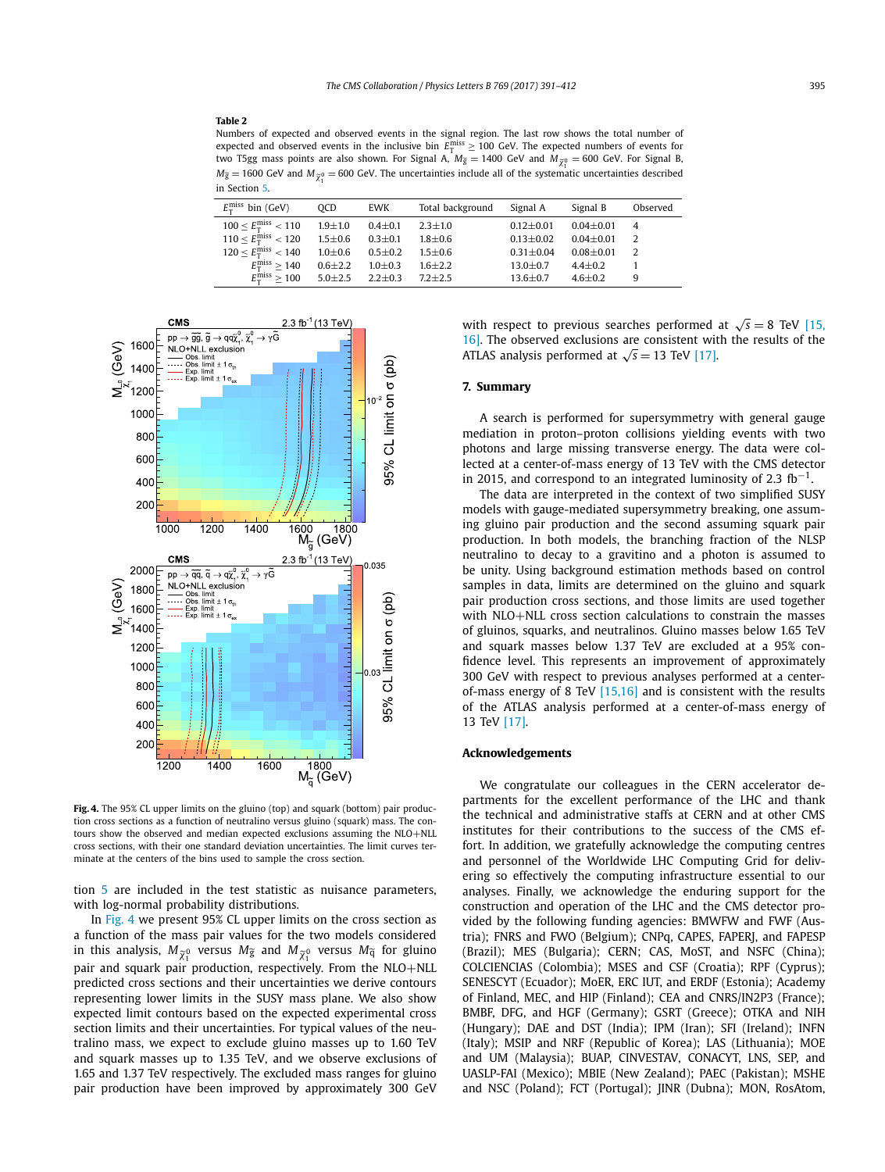#### <span id="page-4-0"></span>**Table 2**

Numbers of expected and observed events in the signal region. The last row shows the total number of expected and observed events in the inclusive bin  $E_{\text{T}}^{\text{miss}} \ge 100$  GeV. The expected numbers of events for two T5gg mass points are also shown. For Signal A,  $M_{\widetilde{g}} = 1400$  GeV and  $M_{\widetilde{\chi}_1^0} = 600$  GeV. For Signal B,  $M_{\tilde{g}} = 1600$  GeV and  $M_{\tilde{\chi}_1^0} = 600$  GeV. The uncertainties include all of the systematic uncertainties described in Section [5.](#page-3-0)

| $E_{\rm T}^{\rm miss}$ bin (GeV)                                            | QCD | EWK                         | Total background Signal A |                 | Signal B        | Observed       |
|-----------------------------------------------------------------------------|-----|-----------------------------|---------------------------|-----------------|-----------------|----------------|
| $100 \le E_{\rm T}^{\rm miss} < 110$ $1.9 \pm 1.0$                          |     | $0.4 \pm 0.1$ $2.3 \pm 1.0$ |                           | $0.12{\pm}0.01$ | $0.04{\pm}0.01$ | $\overline{4}$ |
| $110 \le E_T^{\text{miss}} < 120$ $1.5 \pm 0.6$ $0.3 \pm 0.1$ $1.8 \pm 0.6$ |     |                             |                           | $0.13 \pm 0.02$ | $0.04{\pm}0.01$ | $\overline{2}$ |
| $120 \le E_T^{\text{miss}} < 140$ $1.0 \pm 0.6$ $0.5 \pm 0.2$ $1.5 \pm 0.6$ |     |                             |                           | $0.31 \pm 0.04$ | $0.08{\pm}0.01$ | $\overline{2}$ |
| $E_{\rm T}^{\rm miss} \ge 140$ 0.6±2.2 1.0±0.3                              |     |                             | $1.6 \pm 2.2$             | $13.0 \pm 0.7$  | $4.4 \pm 0.2$   |                |
| $E_{\rm T}^{\rm miss} \ge 100$ 5.0±2.5 2.2±0.3 7.2±2.5                      |     |                             |                           | $13.6 \pm 0.7$  | $4.6 \pm 0.2$   | 9              |



**Fig. 4.** The 95% CL upper limits on the gluino (top) and squark (bottom) pair production cross sections as a function of neutralino versus gluino (squark) mass. The contours show the observed and median expected exclusions assuming the NLO+NLL cross sections, with their one standard deviation uncertainties. The limit curves terminate at the centers of the bins used to sample the cross section.

tion [5](#page-3-0) are included in the test statistic as nuisance parameters, with log-normal probability distributions.

In Fig. 4 we present 95% CL upper limits on the cross section as a function of the mass pair values for the two models considered in this analysis,  $M_{\widetilde{\chi}_1^0}$  versus  $M_{\widetilde{\chi}}$  and  $M_{\widetilde{\chi}_1^0}$  versus  $M_{\widetilde{q}}$  for gluino pair and squark pair production, respectively. From the NLO+NLL predicted cross sections and their uncertainties we derive contours representing lower limits in the SUSY mass plane. We also show expected limit contours based on the expected experimental cross section limits and their uncertainties. For typical values of the neutralino mass, we expect to exclude gluino masses up to 1.60 TeV and squark masses up to 1.35 TeV, and we observe exclusions of 1.65 and 1.37 TeV respectively. The excluded mass ranges for gluino pair production have been improved by approximately 300 GeV with respect to previous searches performed at  $\sqrt{s} = 8$  TeV [\[15,](#page-5-0) [16\].](#page-5-0) The observed exclusions are consistent with the results of the ATLAS analysis performed at  $\sqrt{s}$  = 13 TeV [\[17\].](#page-5-0)

#### **7. Summary**

A search is performed for supersymmetry with general gauge mediation in proton–proton collisions yielding events with two photons and large missing transverse energy. The data were collected at a center-of-mass energy of 13 TeV with the CMS detector in 2015, and correspond to an integrated luminosity of 2.3  $fb^{-1}$ .

The data are interpreted in the context of two simplified SUSY models with gauge-mediated supersymmetry breaking, one assuming gluino pair production and the second assuming squark pair production. In both models, the branching fraction of the NLSP neutralino to decay to a gravitino and a photon is assumed to be unity. Using background estimation methods based on control samples in data, limits are determined on the gluino and squark pair production cross sections, and those limits are used together with NLO+NLL cross section calculations to constrain the masses of gluinos, squarks, and neutralinos. Gluino masses below 1.65 TeV and squark masses below 1.37 TeV are excluded at a 95% confidence level. This represents an improvement of approximately 300 GeV with respect to previous analyses performed at a centerof-mass energy of 8 TeV [\[15,16\]](#page-5-0) and is consistent with the results of the ATLAS analysis performed at a center-of-mass energy of 13 TeV [\[17\].](#page-5-0)

#### **Acknowledgements**

We congratulate our colleagues in the CERN accelerator departments for the excellent performance of the LHC and thank the technical and administrative staffs at CERN and at other CMS institutes for their contributions to the success of the CMS effort. In addition, we gratefully acknowledge the computing centres and personnel of the Worldwide LHC Computing Grid for delivering so effectively the computing infrastructure essential to our analyses. Finally, we acknowledge the enduring support for the construction and operation of the LHC and the CMS detector provided by the following funding agencies: BMWFW and FWF (Austria); FNRS and FWO (Belgium); CNPq, CAPES, FAPERJ, and FAPESP (Brazil); MES (Bulgaria); CERN; CAS, MoST, and NSFC (China); COLCIENCIAS (Colombia); MSES and CSF (Croatia); RPF (Cyprus); SENESCYT (Ecuador); MoER, ERC IUT, and ERDF (Estonia); Academy of Finland, MEC, and HIP (Finland); CEA and CNRS/IN2P3 (France); BMBF, DFG, and HGF (Germany); GSRT (Greece); OTKA and NIH (Hungary); DAE and DST (India); IPM (Iran); SFI (Ireland); INFN (Italy); MSIP and NRF (Republic of Korea); LAS (Lithuania); MOE and UM (Malaysia); BUAP, CINVESTAV, CONACYT, LNS, SEP, and UASLP-FAI (Mexico); MBIE (New Zealand); PAEC (Pakistan); MSHE and NSC (Poland); FCT (Portugal); JINR (Dubna); MON, RosAtom,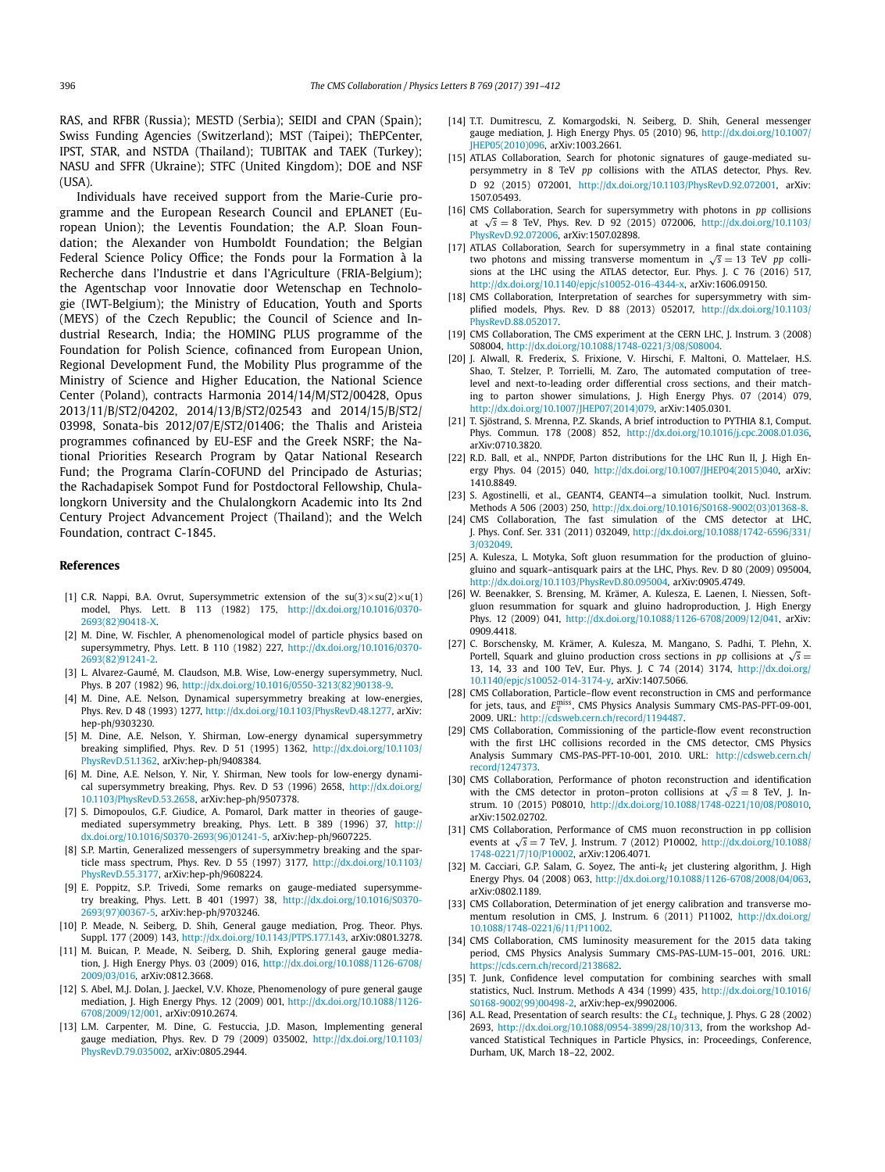<span id="page-5-0"></span>RAS, and RFBR (Russia); MESTD (Serbia); SEIDI and CPAN (Spain); Swiss Funding Agencies (Switzerland); MST (Taipei); ThEPCenter, IPST, STAR, and NSTDA (Thailand); TUBITAK and TAEK (Turkey); NASU and SFFR (Ukraine); STFC (United Kingdom); DOE and NSF  $(IISA)$ 

Individuals have received support from the Marie-Curie programme and the European Research Council and EPLANET (European Union); the Leventis Foundation; the A.P. Sloan Foundation; the Alexander von Humboldt Foundation; the Belgian Federal Science Policy Office; the Fonds pour la Formation à la Recherche dans l'Industrie et dans l'Agriculture (FRIA-Belgium); the Agentschap voor Innovatie door Wetenschap en Technologie (IWT-Belgium); the Ministry of Education, Youth and Sports (MEYS) of the Czech Republic; the Council of Science and Industrial Research, India; the HOMING PLUS programme of the Foundation for Polish Science, cofinanced from European Union, Regional Development Fund, the Mobility Plus programme of the Ministry of Science and Higher Education, the National Science Center (Poland), contracts Harmonia 2014/14/M/ST2/00428, Opus 2013/11/B/ST2/04202, 2014/13/B/ST2/02543 and 2014/15/B/ST2/ 03998, Sonata-bis 2012/07/E/ST2/01406; the Thalis and Aristeia programmes cofinanced by EU-ESF and the Greek NSRF; the National Priorities Research Program by Qatar National Research Fund; the Programa Clarín-COFUND del Principado de Asturias; the Rachadapisek Sompot Fund for Postdoctoral Fellowship, Chulalongkorn University and the Chulalongkorn Academic into Its 2nd Century Project Advancement Project (Thailand); and the Welch Foundation, contract C-1845.

#### **References**

- [1] C.R. Nappi, B.A. Ovrut, Supersymmetric extension of the  $su(3)\times su(2)\times u(1)$ model, Phys. Lett. B 113 (1982) 175, [http://dx.doi.org/10.1016/0370-](http://dx.doi.org/10.1016/0370-2693(82)90418-X) [2693\(82\)90418-X.](http://dx.doi.org/10.1016/0370-2693(82)90418-X)
- [2] M. Dine, W. Fischler, A phenomenological model of particle physics based on supersymmetry, Phys. Lett. B 110 (1982) 227, [http://dx.doi.org/10.1016/0370-](http://dx.doi.org/10.1016/0370-2693(82)91241-2) [2693\(82\)91241-2](http://dx.doi.org/10.1016/0370-2693(82)91241-2).
- [3] L. Alvarez-Gaumé, M. Claudson, M.B. Wise, Low-energy supersymmetry, Nucl. Phys. B 207 (1982) 96, [http://dx.doi.org/10.1016/0550-3213\(82\)90138-9](http://dx.doi.org/10.1016/0550-3213(82)90138-9).
- [4] M. Dine, A.E. Nelson, Dynamical supersymmetry breaking at low-energies, Phys. Rev. D 48 (1993) 1277, [http://dx.doi.org/10.1103/PhysRevD.48.1277,](http://dx.doi.org/10.1103/PhysRevD.48.1277) arXiv: hep-ph/9303230.
- [5] M. Dine, A.E. Nelson, Y. Shirman, Low-energy dynamical supersymmetry breaking simplified, Phys. Rev. D 51 (1995) 1362, [http://dx.doi.org/10.1103/](http://dx.doi.org/10.1103/PhysRevD.51.1362) [PhysRevD.51.1362](http://dx.doi.org/10.1103/PhysRevD.51.1362), arXiv:hep-ph/9408384.
- [6] M. Dine, A.E. Nelson, Y. Nir, Y. Shirman, New tools for low-energy dynamical supersymmetry breaking, Phys. Rev. D 53 (1996) 2658, [http://dx.doi.org/](http://dx.doi.org/10.1103/PhysRevD.53.2658) [10.1103/PhysRevD.53.2658](http://dx.doi.org/10.1103/PhysRevD.53.2658), arXiv:hep-ph/9507378.
- [7] S. Dimopoulos, G.F. Giudice, A. Pomarol, Dark matter in theories of gaugemediated supersymmetry breaking, Phys. Lett. B 389 (1996) 37, [http://](http://dx.doi.org/10.1016/S0370-2693(96)01241-5) [dx.doi.org/10.1016/S0370-2693\(96\)01241-5](http://dx.doi.org/10.1016/S0370-2693(96)01241-5), arXiv:hep-ph/9607225.
- [8] S.P. Martin, Generalized messengers of supersymmetry breaking and the sparticle mass spectrum, Phys. Rev. D 55 (1997) 3177, [http://dx.doi.org/10.1103/](http://dx.doi.org/10.1103/PhysRevD.55.3177) [PhysRevD.55.3177](http://dx.doi.org/10.1103/PhysRevD.55.3177), arXiv:hep-ph/9608224.
- [9] E. Poppitz, S.P. Trivedi, Some remarks on gauge-mediated supersymmetry breaking, Phys. Lett. B 401 (1997) 38, [http://dx.doi.org/10.1016/S0370-](http://dx.doi.org/10.1016/S0370-2693(97)00367-5) [2693\(97\)00367-5](http://dx.doi.org/10.1016/S0370-2693(97)00367-5), arXiv:hep-ph/9703246.
- [10] P. Meade, N. Seiberg, D. Shih, General gauge mediation, Prog. Theor. Phys. Suppl. 177 (2009) 143, [http://dx.doi.org/10.1143/PTPS.177.143,](http://dx.doi.org/10.1143/PTPS.177.143) arXiv:0801.3278.
- [11] M. Buican, P. Meade, N. Seiberg, D. Shih, Exploring general gauge mediation, J. High Energy Phys. 03 (2009) 016, [http://dx.doi.org/10.1088/1126-6708/](http://dx.doi.org/10.1088/1126-6708/2009/03/016) [2009/03/016](http://dx.doi.org/10.1088/1126-6708/2009/03/016), arXiv:0812.3668.
- [12] S. Abel, M.J. Dolan, J. Jaeckel, V.V. Khoze, Phenomenology of pure general gauge mediation, J. High Energy Phys. 12 (2009) 001, [http://dx.doi.org/10.1088/1126-](http://dx.doi.org/10.1088/1126-6708/2009/12/001) [6708/2009/12/001](http://dx.doi.org/10.1088/1126-6708/2009/12/001), arXiv:0910.2674.
- [13] L.M. Carpenter, M. Dine, G. Festuccia, J.D. Mason, Implementing general gauge mediation, Phys. Rev. D 79 (2009) 035002, [http://dx.doi.org/10.1103/](http://dx.doi.org/10.1103/PhysRevD.79.035002) [PhysRevD.79.035002,](http://dx.doi.org/10.1103/PhysRevD.79.035002) arXiv:0805.2944.
- [14] T.T. Dumitrescu, Z. Komargodski, N. Seiberg, D. Shih, General messenger gauge mediation, J. High Energy Phys. 05 (2010) 96, [http://dx.doi.org/10.1007/](http://dx.doi.org/10.1007/JHEP05(2010)096) [JHEP05\(2010\)096](http://dx.doi.org/10.1007/JHEP05(2010)096), arXiv:1003.2661.
- [15] ATLAS Collaboration, Search for photonic signatures of gauge-mediated supersymmetry in 8 TeV *pp* collisions with the ATLAS detector, Phys. Rev. D 92 (2015) 072001, [http://dx.doi.org/10.1103/PhysRevD.92.072001,](http://dx.doi.org/10.1103/PhysRevD.92.072001) arXiv: 1507.05493.
- [16] CMS Collaboration, Search for supersymmetry with photons in *pp* collisions at  $\sqrt{s}$  = 8 TeV, Phys. Rev. D 92 (2015) 072006, [http://dx.doi.org/10.1103/](http://dx.doi.org/10.1103/PhysRevD.92.072006) [PhysRevD.92.072006,](http://dx.doi.org/10.1103/PhysRevD.92.072006) arXiv:1507.02898.
- [17] ATLAS Collaboration, Search for supersymmetry in a final state containing two photons and missing transverse momentum in  $\sqrt{s} = 13$  TeV *pp* collisions at the LHC using the ATLAS detector, Eur. Phys. J. C 76 (2016) 517, <http://dx.doi.org/10.1140/epjc/s10052-016-4344-x>, arXiv:1606.09150.
- [18] CMS Collaboration, Interpretation of searches for supersymmetry with simplified models, Phys. Rev. D 88 (2013) 052017, [http://dx.doi.org/10.1103/](http://dx.doi.org/10.1103/PhysRevD.88.052017) [PhysRevD.88.052017.](http://dx.doi.org/10.1103/PhysRevD.88.052017)
- [19] CMS Collaboration, The CMS experiment at the CERN LHC, J. Instrum. 3 (2008) S08004, <http://dx.doi.org/10.1088/1748-0221/3/08/S08004>.
- [20] J. Alwall, R. Frederix, S. Frixione, V. Hirschi, F. Maltoni, O. Mattelaer, H.S. Shao, T. Stelzer, P. Torrielli, M. Zaro, The automated computation of treelevel and next-to-leading order differential cross sections, and their matching to parton shower simulations, J. High Energy Phys. 07 (2014) 079, [http://dx.doi.org/10.1007/JHEP07\(2014\)079](http://dx.doi.org/10.1007/JHEP07(2014)079), arXiv:1405.0301.
- [21] T. Sjöstrand, S. Mrenna, P.Z. Skands, A brief introduction to PYTHIA 8.1, Comput. Phys. Commun. 178 (2008) 852, <http://dx.doi.org/10.1016/j.cpc.2008.01.036>, arXiv:0710.3820.
- [22] R.D. Ball, et al., NNPDF, Parton distributions for the LHC Run II, J. High Energy Phys. 04 (2015) 040, [http://dx.doi.org/10.1007/JHEP04\(2015\)040,](http://dx.doi.org/10.1007/JHEP04(2015)040) arXiv: 1410.8849.
- [23] S. Agostinelli, et al., GEANT4, GEANT4-a simulation toolkit, Nucl. Instrum. Methods A 506 (2003) 250, [http://dx.doi.org/10.1016/S0168-9002\(03\)01368-8](http://dx.doi.org/10.1016/S0168-9002(03)01368-8).
- [24] CMS Collaboration, The fast simulation of the CMS detector at LHC, J. Phys. Conf. Ser. 331 (2011) 032049, [http://dx.doi.org/10.1088/1742-6596/331/](http://dx.doi.org/10.1088/1742-6596/331/3/032049) [3/032049.](http://dx.doi.org/10.1088/1742-6596/331/3/032049)
- [25] A. Kulesza, L. Motyka, Soft gluon resummation for the production of gluinogluino and squark–antisquark pairs at the LHC, Phys. Rev. D 80 (2009) 095004, <http://dx.doi.org/10.1103/PhysRevD.80.095004>, arXiv:0905.4749.
- [26] W. Beenakker, S. Brensing, M. Krämer, A. Kulesza, E. Laenen, I. Niessen, Softgluon resummation for squark and gluino hadroproduction, J. High Energy Phys. 12 (2009) 041, <http://dx.doi.org/10.1088/1126-6708/2009/12/041>, arXiv: 0909.4418.
- [27] C. Borschensky, M. Krämer, A. Kulesza, M. Mangano, S. Padhi, T. Plehn, X. Portell, Squark and gluino production cross sections in *pp* collisions at  $\sqrt{s}$  = 13, 14, 33 and 100 TeV, Eur. Phys. J. C 74 (2014) 3174, [http://dx.doi.org/](http://dx.doi.org/10.1140/epjc/s10052-014-3174-y) [10.1140/epjc/s10052-014-3174-y](http://dx.doi.org/10.1140/epjc/s10052-014-3174-y), arXiv:1407.5066.
- [28] CMS Collaboration, Particle–flow event reconstruction in CMS and performance for jets, taus, and  $E_{\text{T}}^{\text{miss}}$ , CMS Physics Analysis Summary CMS-PAS-PFT-09-001, 2009. URL: <http://cdsweb.cern.ch/record/1194487>.
- [29] CMS Collaboration, Commissioning of the particle-flow event reconstruction with the first LHC collisions recorded in the CMS detector, CMS Physics Analysis Summary CMS-PAS-PFT-10-001, 2010. URL: [http://cdsweb.cern.ch/](http://cdsweb.cern.ch/record/1247373) [record/1247373](http://cdsweb.cern.ch/record/1247373).
- [30] CMS Collaboration, Performance of photon reconstruction and identification with the CMS detector in proton–proton collisions at  $\sqrt{s} = 8$  TeV, J. Instrum. 10 (2015) P08010, <http://dx.doi.org/10.1088/1748-0221/10/08/P08010>, arXiv:1502.02702.
- [31] CMS Collaboration, Performance of CMS muon reconstruction in pp collision events at <sup>√</sup>*<sup>s</sup>* <sup>=</sup> 7 TeV, J. Instrum. <sup>7</sup> (2012) P10002, [http://dx.doi.org/10.1088/](http://dx.doi.org/10.1088/1748-0221/7/10/P10002) [1748-0221/7/10/P10002](http://dx.doi.org/10.1088/1748-0221/7/10/P10002), arXiv:1206.4071.
- [32] M. Cacciari, G.P. Salam, G. Soyez, The anti-*kt* jet clustering algorithm, J. High Energy Phys. 04 (2008) 063, <http://dx.doi.org/10.1088/1126-6708/2008/04/063>, arXiv:0802.1189.
- [33] CMS Collaboration, Determination of jet energy calibration and transverse momentum resolution in CMS, J. Instrum. 6 (2011) P11002, [http://dx.doi.org/](http://dx.doi.org/10.1088/1748-0221/6/11/P11002) [10.1088/1748-0221/6/11/P11002.](http://dx.doi.org/10.1088/1748-0221/6/11/P11002)
- [34] CMS Collaboration, CMS luminosity measurement for the 2015 data taking period, CMS Physics Analysis Summary CMS-PAS-LUM-15–001, 2016. URL: [https://cds.cern.ch/record/2138682.](https://cds.cern.ch/record/2138682)
- [35] T. Junk, Confidence level computation for combining searches with small statistics, Nucl. Instrum. Methods A 434 (1999) 435, [http://dx.doi.org/10.1016/](http://dx.doi.org/10.1016/S0168-9002(99)00498-2) [S0168-9002\(99\)00498-2,](http://dx.doi.org/10.1016/S0168-9002(99)00498-2) arXiv:hep-ex/9902006.
- [36] A.L. Read, Presentation of search results: the *C Ls* technique, J. Phys. G 28 (2002) 2693, [http://dx.doi.org/10.1088/0954-3899/28/10/313,](http://dx.doi.org/10.1088/0954-3899/28/10/313) from the workshop Advanced Statistical Techniques in Particle Physics, in: Proceedings, Conference, Durham, UK, March 18–22, 2002.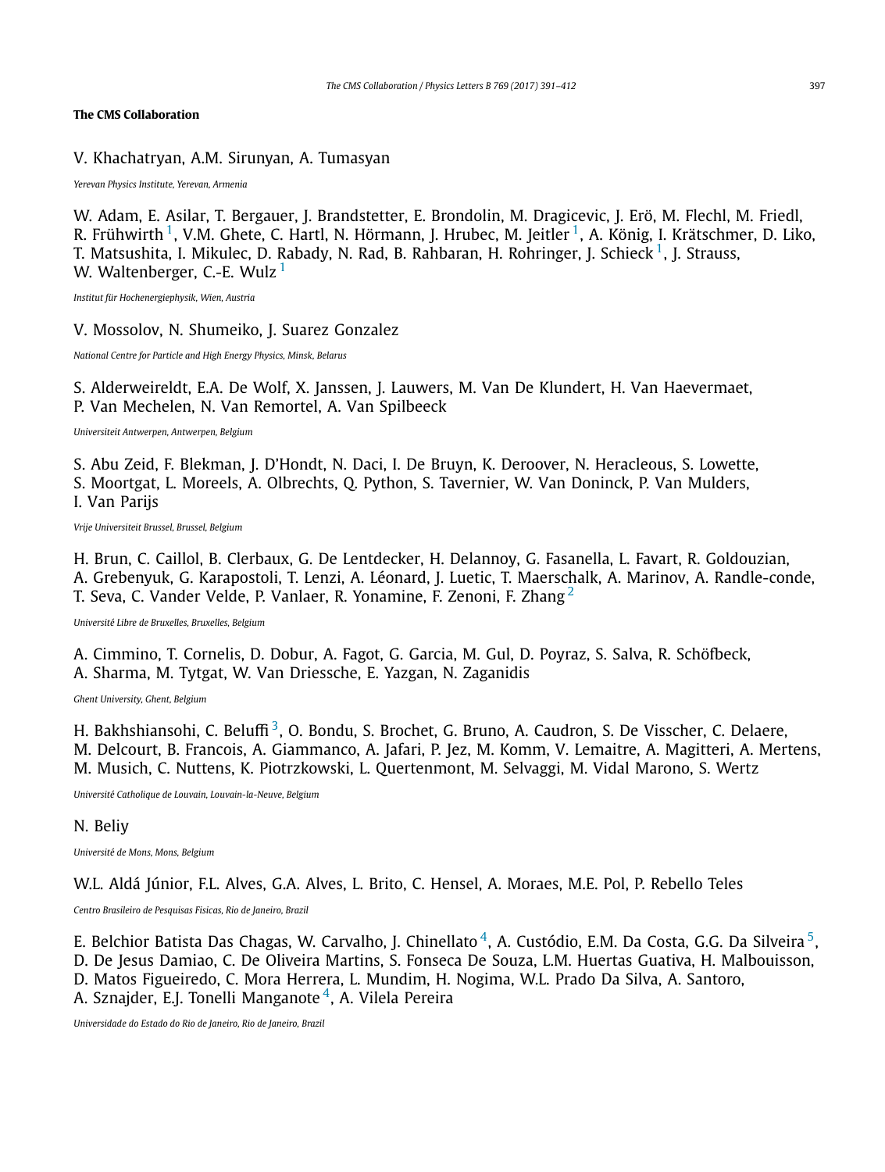#### <span id="page-6-0"></span>**The CMS Collaboration**

### V. Khachatryan, A.M. Sirunyan, A. Tumasyan

*Yerevan Physics Institute, Yerevan, Armenia*

W. Adam, E. Asilar, T. Bergauer, J. Brandstetter, E. Brondolin, M. Dragicevic, J. Erö, M. Flechl, M. Friedl, R. Frühwirth <sup>1</sup>, V.M. Ghete, C. Hartl, N. Hörmann, J. Hrubec, M. Jeitler <sup>1</sup>, A. König, I. Krätschmer, D. Liko, T. Matsushita, I. Mikulec, D. Rabady, N. Rad, B. Rahbaran, H. Rohringer, J. Schieck<sup>1</sup>, J. Strauss, W. Waltenberger, C.-E. Wulz<sup>[1](#page-20-0)</sup>

*Institut für Hochenergiephysik, Wien, Austria*

V. Mossolov, N. Shumeiko, J. Suarez Gonzalez

*National Centre for Particle and High Energy Physics, Minsk, Belarus*

S. Alderweireldt, E.A. De Wolf, X. Janssen, J. Lauwers, M. Van De Klundert, H. Van Haevermaet, P. Van Mechelen, N. Van Remortel, A. Van Spilbeeck

*Universiteit Antwerpen, Antwerpen, Belgium*

S. Abu Zeid, F. Blekman, J. D'Hondt, N. Daci, I. De Bruyn, K. Deroover, N. Heracleous, S. Lowette, S. Moortgat, L. Moreels, A. Olbrechts, Q. Python, S. Tavernier, W. Van Doninck, P. Van Mulders, I. Van Parijs

*Vrije Universiteit Brussel, Brussel, Belgium*

H. Brun, C. Caillol, B. Clerbaux, G. De Lentdecker, H. Delannoy, G. Fasanella, L. Favart, R. Goldouzian, A. Grebenyuk, G. Karapostoli, T. Lenzi, A. Léonard, J. Luetic, T. Maerschalk, A. Marinov, A. Randle-conde, T. Seva, C. Vander Velde, P. Vanlaer, R. Yonamine, F. Zenoni, F. Zhang  $^2$  $^2$ 

*Université Libre de Bruxelles, Bruxelles, Belgium*

A. Cimmino, T. Cornelis, D. Dobur, A. Fagot, G. Garcia, M. Gul, D. Poyraz, S. Salva, R. Schöfbeck, A. Sharma, M. Tytgat, W. Van Driessche, E. Yazgan, N. Zaganidis

*Ghent University, Ghent, Belgium*

H. Bakhshiansohi, C. Beluffi<sup>3</sup>, O. Bondu, S. Brochet, G. Bruno, A. Caudron, S. De Visscher, C. Delaere, M. Delcourt, B. Francois, A. Giammanco, A. Jafari, P. Jez, M. Komm, V. Lemaitre, A. Magitteri, A. Mertens, M. Musich, C. Nuttens, K. Piotrzkowski, L. Quertenmont, M. Selvaggi, M. Vidal Marono, S. Wertz

*Université Catholique de Louvain, Louvain-la-Neuve, Belgium*

### N. Beliy

*Université de Mons, Mons, Belgium*

W.L. Aldá Júnior, F.L. Alves, G.A. Alves, L. Brito, C. Hensel, A. Moraes, M.E. Pol, P. Rebello Teles

*Centro Brasileiro de Pesquisas Fisicas, Rio de Janeiro, Brazil*

E. Belchior Batista Das Chagas, W. Carvalho, J. Chinellato<sup>[4](#page-20-0)</sup>, A. Custódio, E.M. Da Costa, G.G. Da Silveira<sup>5</sup>, D. De Jesus Damiao, C. De Oliveira Martins, S. Fonseca De Souza, L.M. Huertas Guativa, H. Malbouisson, D. Matos Figueiredo, C. Mora Herrera, L. Mundim, H. Nogima, W.L. Prado Da Silva, A. Santoro,

A. Sznajder, E.J. Tonelli Manganote<sup>4</sup>, A. Vilela Pereira

*Universidade do Estado do Rio de Janeiro, Rio de Janeiro, Brazil*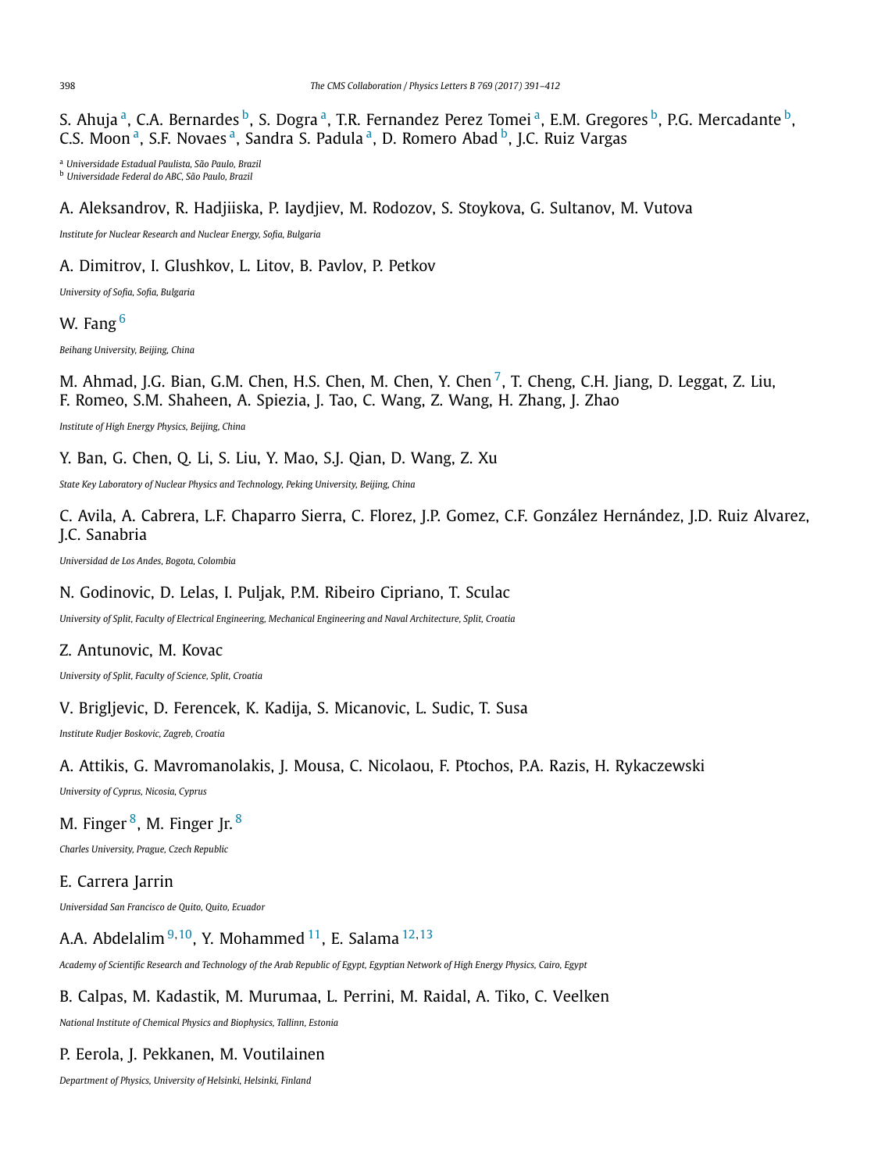S. Ahuja<sup>a</sup>, C.A. Bernardes <sup>b</sup>, S. Dogra<sup>a</sup>, T.R. Fernandez Perez Tomei<sup>a</sup>, E.M. Gregores <sup>b</sup>, P.G. Mercadante <sup>b</sup>, C.S. Moon<sup>a</sup>, S.F. Novaes<sup>a</sup>, Sandra S. Padula<sup>a</sup>, D. Romero Abad <sup>b</sup>, J.C. Ruiz Vargas

<sup>a</sup> *Universidade Estadual Paulista, São Paulo, Brazil* <sup>b</sup> *Universidade Federal do ABC, São Paulo, Brazil*

### A. Aleksandrov, R. Hadjiiska, P. Iaydjiev, M. Rodozov, S. Stoykova, G. Sultanov, M. Vutova

*Institute for Nuclear Research and Nuclear Energy, Sofia, Bulgaria*

#### A. Dimitrov, I. Glushkov, L. Litov, B. Pavlov, P. Petkov

*University of Sofia, Sofia, Bulgaria*

W. Fang<sup>[6](#page-20-0)</sup>

*Beihang University, Beijing, China*

M. Ahmad, J.G. Bian, G.M. Chen, H.S. Chen, M. Chen, Y. Chen<sup>7</sup>, T. Cheng, C.H. Jiang, D. Leggat, Z. Liu, F. Romeo, S.M. Shaheen, A. Spiezia, J. Tao, C. Wang, Z. Wang, H. Zhang, J. Zhao

*Institute of High Energy Physics, Beijing, China*

#### Y. Ban, G. Chen, Q. Li, S. Liu, Y. Mao, S.J. Qian, D. Wang, Z. Xu

*State Key Laboratory of Nuclear Physics and Technology, Peking University, Beijing, China*

### C. Avila, A. Cabrera, L.F. Chaparro Sierra, C. Florez, J.P. Gomez, C.F. González Hernández, J.D. Ruiz Alvarez, J.C. Sanabria

*Universidad de Los Andes, Bogota, Colombia*

#### N. Godinovic, D. Lelas, I. Puljak, P.M. Ribeiro Cipriano, T. Sculac

*University of Split, Faculty of Electrical Engineering, Mechanical Engineering and Naval Architecture, Split, Croatia*

### Z. Antunovic, M. Kovac

*University of Split, Faculty of Science, Split, Croatia*

#### V. Brigljevic, D. Ferencek, K. Kadija, S. Micanovic, L. Sudic, T. Susa

*Institute Rudjer Boskovic, Zagreb, Croatia*

#### A. Attikis, G. Mavromanolakis, J. Mousa, C. Nicolaou, F. Ptochos, P.A. Razis, H. Rykaczewski

*University of Cyprus, Nicosia, Cyprus*

# M. Finger  $\frac{8}{3}$  $\frac{8}{3}$  $\frac{8}{3}$ , M. Finger Jr.  $\frac{8}{3}$

*Charles University, Prague, Czech Republic*

#### E. Carrera Jarrin

*Universidad San Francisco de Quito, Quito, Ecuador*

### A.A. Abdelalim [9](#page-20-0)*,*[10,](#page-20-0) Y. Mohammed [11,](#page-20-0) E. Salama [12](#page-20-0)*,*[13](#page-20-0)

Academy of Scientific Research and Technology of the Arab Republic of Egypt, Egyptian Network of High Energy Physics, Cairo, Egypt

### B. Calpas, M. Kadastik, M. Murumaa, L. Perrini, M. Raidal, A. Tiko, C. Veelken

*National Institute of Chemical Physics and Biophysics, Tallinn, Estonia*

### P. Eerola, J. Pekkanen, M. Voutilainen

*Department of Physics, University of Helsinki, Helsinki, Finland*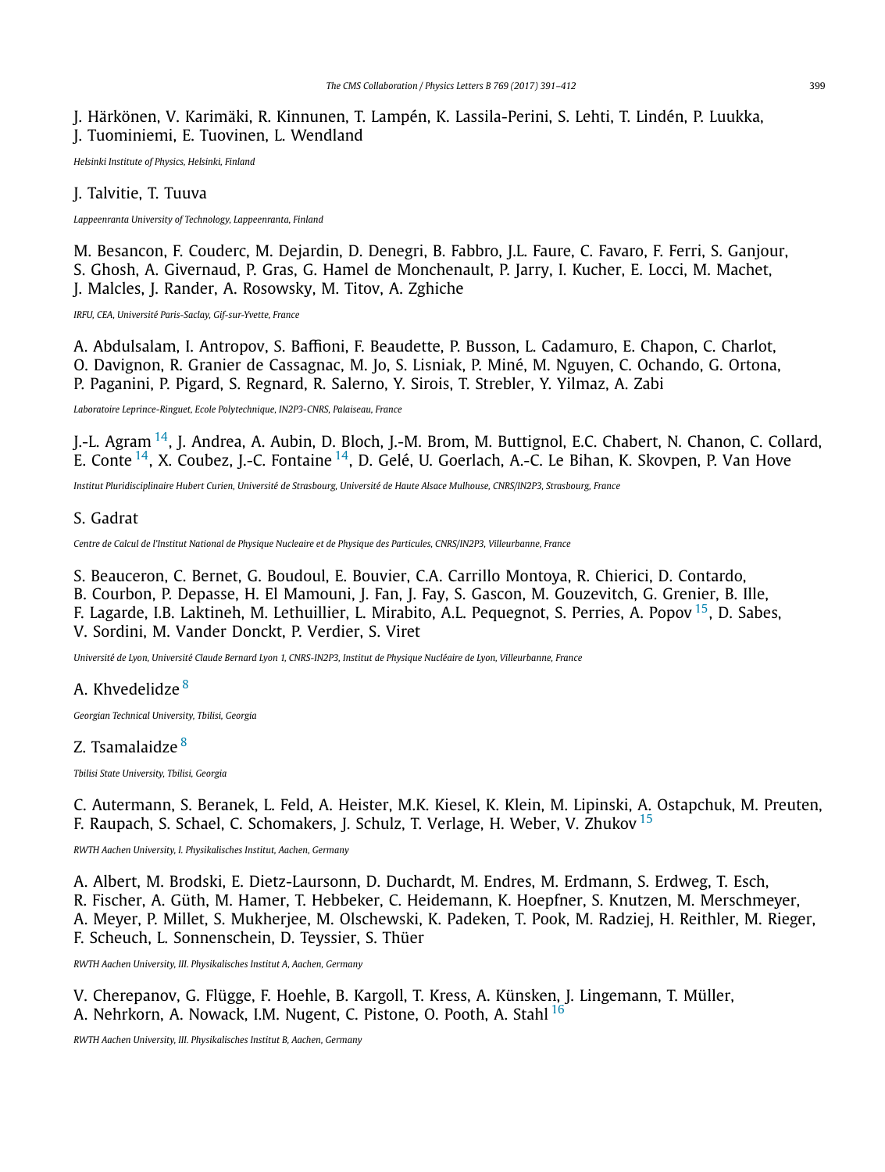### J. Härkönen, V. Karimäki, R. Kinnunen, T. Lampén, K. Lassila-Perini, S. Lehti, T. Lindén, P. Luukka, J. Tuominiemi, E. Tuovinen, L. Wendland

*Helsinki Institute of Physics, Helsinki, Finland*

### J. Talvitie, T. Tuuva

*Lappeenranta University of Technology, Lappeenranta, Finland*

M. Besancon, F. Couderc, M. Dejardin, D. Denegri, B. Fabbro, J.L. Faure, C. Favaro, F. Ferri, S. Ganjour, S. Ghosh, A. Givernaud, P. Gras, G. Hamel de Monchenault, P. Jarry, I. Kucher, E. Locci, M. Machet, J. Malcles, J. Rander, A. Rosowsky, M. Titov, A. Zghiche

*IRFU, CEA, Université Paris-Saclay, Gif-sur-Yvette, France*

A. Abdulsalam, I. Antropov, S. Baffioni, F. Beaudette, P. Busson, L. Cadamuro, E. Chapon, C. Charlot, O. Davignon, R. Granier de Cassagnac, M. Jo, S. Lisniak, P. Miné, M. Nguyen, C. Ochando, G. Ortona, P. Paganini, P. Pigard, S. Regnard, R. Salerno, Y. Sirois, T. Strebler, Y. Yilmaz, A. Zabi

*Laboratoire Leprince-Ringuet, Ecole Polytechnique, IN2P3-CNRS, Palaiseau, France*

J.-L. Agram <sup>14</sup>, J. Andrea, A. Aubin, D. Bloch, J.-M. Brom, M. Buttignol, E.C. Chabert, N. Chanon, C. Collard, E. Conte [14,](#page-20-0) X. Coubez, J.-C. Fontaine [14](#page-20-0), D. Gelé, U. Goerlach, A.-C. Le Bihan, K. Skovpen, P. Van Hove

Institut Pluridisciplinaire Hubert Curien, Université de Strasbourg, Université de Haute Alsace Mulhouse, CNRS/IN2P3, Strasbourg, France

### S. Gadrat

Centre de Calcul de l'Institut National de Physique Nucleaire et de Physique des Particules, CNRS/IN2P3, Villeurbanne, France

S. Beauceron, C. Bernet, G. Boudoul, E. Bouvier, C.A. Carrillo Montoya, R. Chierici, D. Contardo, B. Courbon, P. Depasse, H. El Mamouni, J. Fan, J. Fay, S. Gascon, M. Gouzevitch, G. Grenier, B. Ille, F. Lagarde, I.B. Laktineh, M. Lethuillier, L. Mirabito, A.L. Pequegnot, S. Perries, A. Popov<sup>[15](#page-20-0)</sup>. D. Sabes. V. Sordini, M. Vander Donckt, P. Verdier, S. Viret

Université de Lyon, Université Claude Bernard Lyon 1, CNRS-IN2P3, Institut de Physique Nucléaire de Lyon, Villeurbanne, France

### A. Khvedelidze<sup>[8](#page-20-0)</sup>

*Georgian Technical University, Tbilisi, Georgia*

### Z. Tsamalaidze<sup>[8](#page-20-0)</sup>

*Tbilisi State University, Tbilisi, Georgia*

C. Autermann, S. Beranek, L. Feld, A. Heister, M.K. Kiesel, K. Klein, M. Lipinski, A. Ostapchuk, M. Preuten, F. Raupach, S. Schael, C. Schomakers, J. Schulz, T. Verlage, H. Weber, V. Zhukov [15](#page-20-0)

*RWTH Aachen University, I. Physikalisches Institut, Aachen, Germany*

A. Albert, M. Brodski, E. Dietz-Laursonn, D. Duchardt, M. Endres, M. Erdmann, S. Erdweg, T. Esch, R. Fischer, A. Güth, M. Hamer, T. Hebbeker, C. Heidemann, K. Hoepfner, S. Knutzen, M. Merschmeyer, A. Meyer, P. Millet, S. Mukherjee, M. Olschewski, K. Padeken, T. Pook, M. Radziej, H. Reithler, M. Rieger, F. Scheuch, L. Sonnenschein, D. Teyssier, S. Thüer

*RWTH Aachen University, III. Physikalisches Institut A, Aachen, Germany*

V. Cherepanov, G. Flügge, F. Hoehle, B. Kargoll, T. Kress, A. Künsken, J. Lingemann, T. Müller, A. Nehrkorn, A. Nowack, I.M. Nugent, C. Pistone, O. Pooth, A. Stahl [16](#page-20-0)

*RWTH Aachen University, III. Physikalisches Institut B, Aachen, Germany*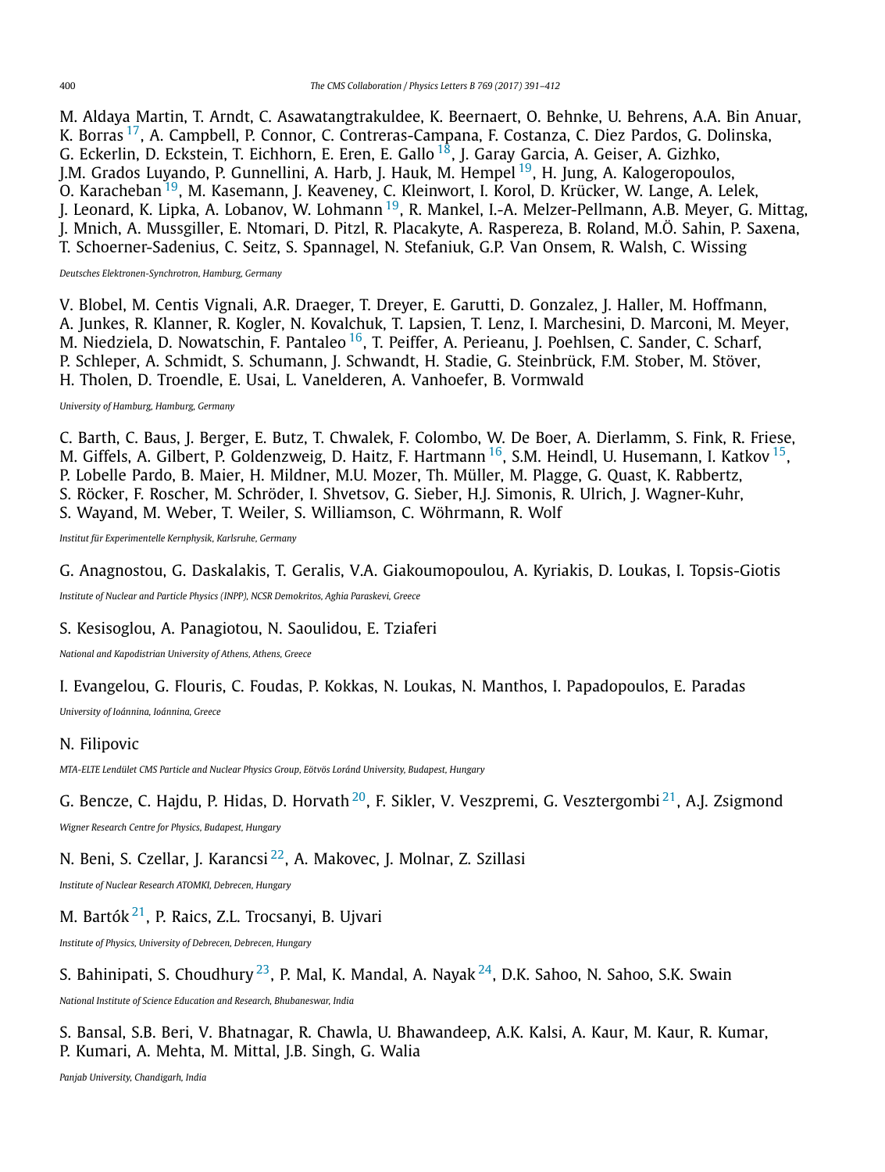M. Aldaya Martin, T. Arndt, C. Asawatangtrakuldee, K. Beernaert, O. Behnke, U. Behrens, A.A. Bin Anuar, K. Borras [17,](#page-20-0) A. Campbell, P. Connor, C. Contreras-Campana, F. Costanza, C. Diez Pardos, G. Dolinska, G. Eckerlin, D. Eckstein, T. Eichhorn, E. Eren, E. Gallo <sup>18</sup>, J. Garay Garcia, A. Geiser, A. Gizhko, J.M. Grados Luyando, P. Gunnellini, A. Harb, J. Hauk, M. Hempel <sup>[19](#page-20-0)</sup>, H. Jung, A. Kalogeropoulos, O. Karacheban <sup>19</sup>, M. Kasemann, J. Keaveney, C. Kleinwort, I. Korol, D. Krücker, W. Lange, A. Lelek, J. Leonard, K. Lipka, A. Lobanov, W. Lohmann <sup>19</sup>, R. Mankel, I.-A. Melzer-Pellmann, A.B. Meyer, G. Mittag, J. Mnich, A. Mussgiller, E. Ntomari, D. Pitzl, R. Placakyte, A. Raspereza, B. Roland, M.Ö. Sahin, P. Saxena, T. Schoerner-Sadenius, C. Seitz, S. Spannagel, N. Stefaniuk, G.P. Van Onsem, R. Walsh, C. Wissing

*Deutsches Elektronen-Synchrotron, Hamburg, Germany*

V. Blobel, M. Centis Vignali, A.R. Draeger, T. Dreyer, E. Garutti, D. Gonzalez, J. Haller, M. Hoffmann, A. Junkes, R. Klanner, R. Kogler, N. Kovalchuk, T. Lapsien, T. Lenz, I. Marchesini, D. Marconi, M. Meyer, M. Niedziela, D. Nowatschin, F. Pantaleo [16,](#page-20-0) T. Peiffer, A. Perieanu, J. Poehlsen, C. Sander, C. Scharf, P. Schleper, A. Schmidt, S. Schumann, J. Schwandt, H. Stadie, G. Steinbrück, F.M. Stober, M. Stöver, H. Tholen, D. Troendle, E. Usai, L. Vanelderen, A. Vanhoefer, B. Vormwald

*University of Hamburg, Hamburg, Germany*

C. Barth, C. Baus, J. Berger, E. Butz, T. Chwalek, F. Colombo, W. De Boer, A. Dierlamm, S. Fink, R. Friese, M. Giffels, A. Gilbert, P. Goldenzweig, D. Haitz, F. Hartmann <sup>16</sup>, S.M. Heindl, U. Husemann, I. Katkov <sup>15</sup>, P. Lobelle Pardo, B. Maier, H. Mildner, M.U. Mozer, Th. Müller, M. Plagge, G. Quast, K. Rabbertz, S. Röcker, F. Roscher, M. Schröder, I. Shvetsov, G. Sieber, H.J. Simonis, R. Ulrich, J. Wagner-Kuhr, S. Wayand, M. Weber, T. Weiler, S. Williamson, C. Wöhrmann, R. Wolf

*Institut für Experimentelle Kernphysik, Karlsruhe, Germany*

G. Anagnostou, G. Daskalakis, T. Geralis, V.A. Giakoumopoulou, A. Kyriakis, D. Loukas, I. Topsis-Giotis

*Institute of Nuclear and Particle Physics (INPP), NCSR Demokritos, Aghia Paraskevi, Greece*

#### S. Kesisoglou, A. Panagiotou, N. Saoulidou, E. Tziaferi

*National and Kapodistrian University of Athens, Athens, Greece*

### I. Evangelou, G. Flouris, C. Foudas, P. Kokkas, N. Loukas, N. Manthos, I. Papadopoulos, E. Paradas

*University of Ioánnina, Ioánnina, Greece*

#### N. Filipovic

*MTA-ELTE Lendület CMS Particle and Nuclear Physics Group, Eötvös Loránd University, Budapest, Hungary*

### G. Bencze, C. Hajdu, P. Hidas, D. Horvath  $20$ , F. Sikler, V. Veszpremi, G. Vesztergombi  $21$ , A.J. Zsigmond

*Wigner Research Centre for Physics, Budapest, Hungary*

### N. Beni, S. Czellar, J. Karancsi [22,](#page-20-0) A. Makovec, J. Molnar, Z. Szillasi

*Institute of Nuclear Research ATOMKI, Debrecen, Hungary*

# M. Bartók [21,](#page-20-0) P. Raics, Z.L. Trocsanyi, B. Ujvari

*Institute of Physics, University of Debrecen, Debrecen, Hungary*

# S. Bahinipati, S. Choudhury<sup>23</sup>, P. Mal, K. Mandal, A. Nayak<sup>24</sup>, D.K. Sahoo, N. Sahoo, S.K. Swain

*National Institute of Science Education and Research, Bhubaneswar, India*

S. Bansal, S.B. Beri, V. Bhatnagar, R. Chawla, U. Bhawandeep, A.K. Kalsi, A. Kaur, M. Kaur, R. Kumar, P. Kumari, A. Mehta, M. Mittal, J.B. Singh, G. Walia

*Panjab University, Chandigarh, India*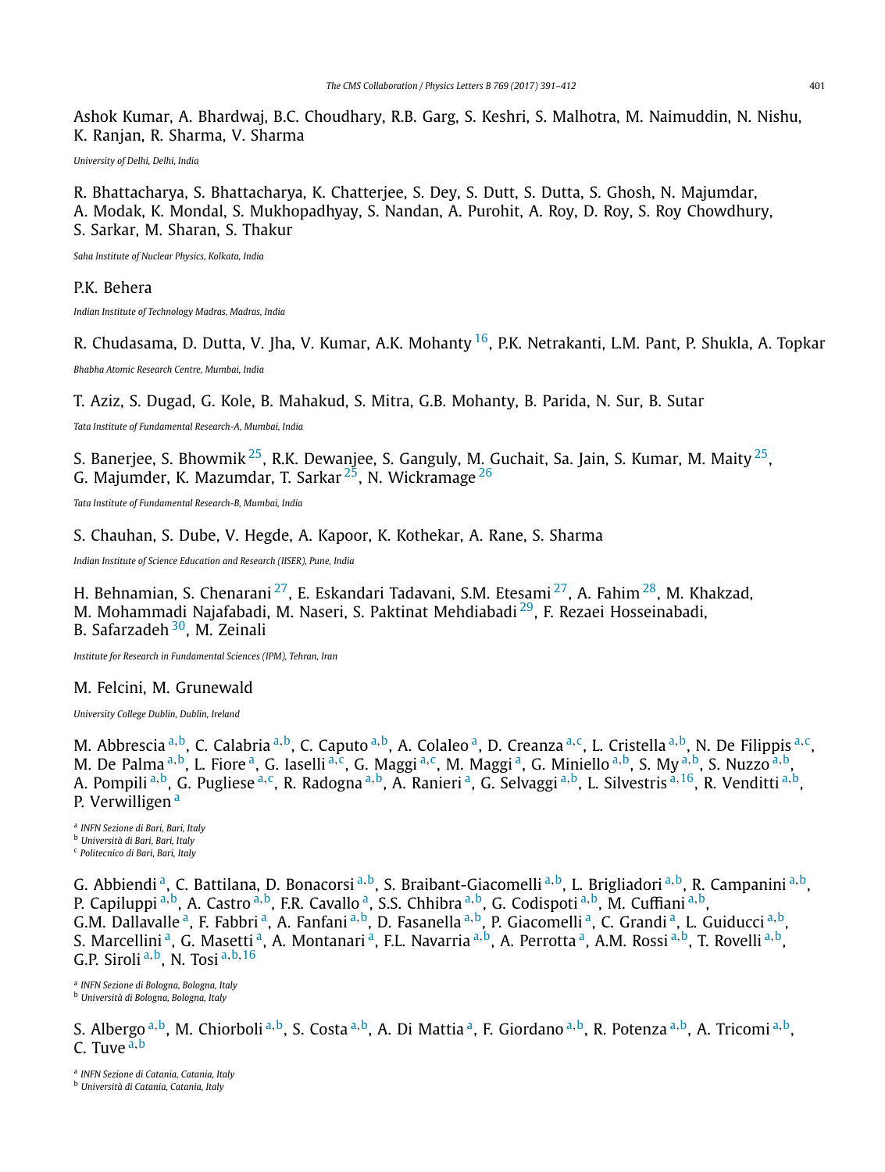Ashok Kumar, A. Bhardwaj, B.C. Choudhary, R.B. Garg, S. Keshri, S. Malhotra, M. Naimuddin, N. Nishu, K. Ranjan, R. Sharma, V. Sharma

*University of Delhi, Delhi, India*

R. Bhattacharya, S. Bhattacharya, K. Chatterjee, S. Dey, S. Dutt, S. Dutta, S. Ghosh, N. Majumdar, A. Modak, K. Mondal, S. Mukhopadhyay, S. Nandan, A. Purohit, A. Roy, D. Roy, S. Roy Chowdhury, S. Sarkar, M. Sharan, S. Thakur

*Saha Institute of Nuclear Physics, Kolkata, India*

### P.K. Behera

*Indian Institute of Technology Madras, Madras, India*

R. Chudasama, D. Dutta, V. Jha, V. Kumar, A.K. Mohanty <sup>16</sup>, P.K. Netrakanti, L.M. Pant, P. Shukla, A. Topkar

*Bhabha Atomic Research Centre, Mumbai, India*

T. Aziz, S. Dugad, G. Kole, B. Mahakud, S. Mitra, G.B. Mohanty, B. Parida, N. Sur, B. Sutar

*Tata Institute of Fundamental Research-A, Mumbai, India*

S. Banerjee, S. Bhowmik  $^{25}$ , R.K. Dewanjee, S. Ganguly, M. Guchait, Sa. Jain, S. Kumar, M. Maity  $^{25}$ , G. Majumder, K. Mazumdar, T. Sarkar  $2^5$ , N. Wickramage  $2^6$ 

*Tata Institute of Fundamental Research-B, Mumbai, India*

S. Chauhan, S. Dube, V. Hegde, A. Kapoor, K. Kothekar, A. Rane, S. Sharma

*Indian Institute of Science Education and Research (IISER), Pune, India*

H. Behnamian, S. Chenarani<sup>[27](#page-20-0)</sup>, E. Eskandari Tadavani, S.M. Etesami<sup>27</sup>, A. Fahim<sup>[28](#page-20-0)</sup>, M. Khakzad, M. Mohammadi Najafabadi, M. Naseri, S. Paktinat Mehdiabadi [29,](#page-20-0) F. Rezaei Hosseinabadi, B. Safarzadeh<sup>30</sup>, M. Zeinali

*Institute for Research in Fundamental Sciences (IPM), Tehran, Iran*

#### M. Felcini, M. Grunewald

*University College Dublin, Dublin, Ireland*

M. Abbrescia <sup>a</sup>*,*b, C. Calabria <sup>a</sup>*,*b, C. Caputo <sup>a</sup>*,*b, A. Colaleo a, D. Creanza <sup>a</sup>*,*c, L. Cristella <sup>a</sup>*,*b, N. De Filippis <sup>a</sup>*,*c, M. De Palma <sup>a</sup>*,*b, L. Fiore a, G. Iaselli <sup>a</sup>*,*c, G. Maggi <sup>a</sup>*,*c, M. Maggi a, G. Miniello <sup>a</sup>*,*b, S. My <sup>a</sup>*,*b, S. Nuzzo <sup>a</sup>*,*b, A. Pompili <sup>a</sup>*,*b, G. Pugliese <sup>a</sup>*,*c, R. Radogna <sup>a</sup>*,*b, A. Ranieri a, G. Selvaggi <sup>a</sup>*,*b, L. Silvestris <sup>a</sup>*,*[16](#page-20-0), R. Venditti <sup>a</sup>*,*b, P. Verwilligen<sup>a</sup>

<sup>a</sup> *INFN Sezione di Bari, Bari, Italy*

<sup>b</sup> *Università di Bari, Bari, Italy*

<sup>c</sup> *Politecnico di Bari, Bari, Italy*

G. Abbiendi a, C. Battilana, D. Bonacorsi <sup>a</sup>*,*b, S. Braibant-Giacomelli <sup>a</sup>*,*b, L. Brigliadori <sup>a</sup>*,*b, R. Campanini <sup>a</sup>*,*b, P. Capiluppi <sup>a</sup>*,*b, A. Castro <sup>a</sup>*,*b, F.R. Cavallo a, S.S. Chhibra <sup>a</sup>*,*b, G. Codispoti <sup>a</sup>*,*b, M. Cuffiani <sup>a</sup>*,*b, G.M. Dallavalle <sup>a</sup>, F. Fabbri <sup>a</sup>, A. Fanfani <sup>a,b</sup>, D. Fasanella <sup>a,b</sup>, P. Giacomelli <sup>a</sup>, C. Grandi <sup>a</sup>, L. Guiducci <sup>a,b</sup>, S. Marcellini <sup>a</sup>, G. Masetti <sup>a</sup>, A. Montanari <sup>a</sup>, F.L. Navarria <sup>a, b</sup>, A. Perrotta <sup>a</sup>, A.M. Rossi <sup>a, b</sup>, T. Rovelli <sup>a, b</sup>, G.P. Siroli <sup>a</sup>*,*b, N. Tosi <sup>a</sup>*,*b*,*[16](#page-20-0)

<sup>a</sup> *INFN Sezione di Bologna, Bologna, Italy*

<sup>b</sup> *Università di Bologna, Bologna, Italy*

S. Albergo <sup>a</sup>*,*b, M. Chiorboli <sup>a</sup>*,*b, S. Costa <sup>a</sup>*,*b, A. Di Mattia a, F. Giordano <sup>a</sup>*,*b, R. Potenza <sup>a</sup>*,*b, A. Tricomi <sup>a</sup>*,*b, C. Tuve <sup>a</sup>*,*<sup>b</sup>

<sup>b</sup> *Università di Catania, Catania, Italy*

<sup>a</sup> *INFN Sezione di Catania, Catania, Italy*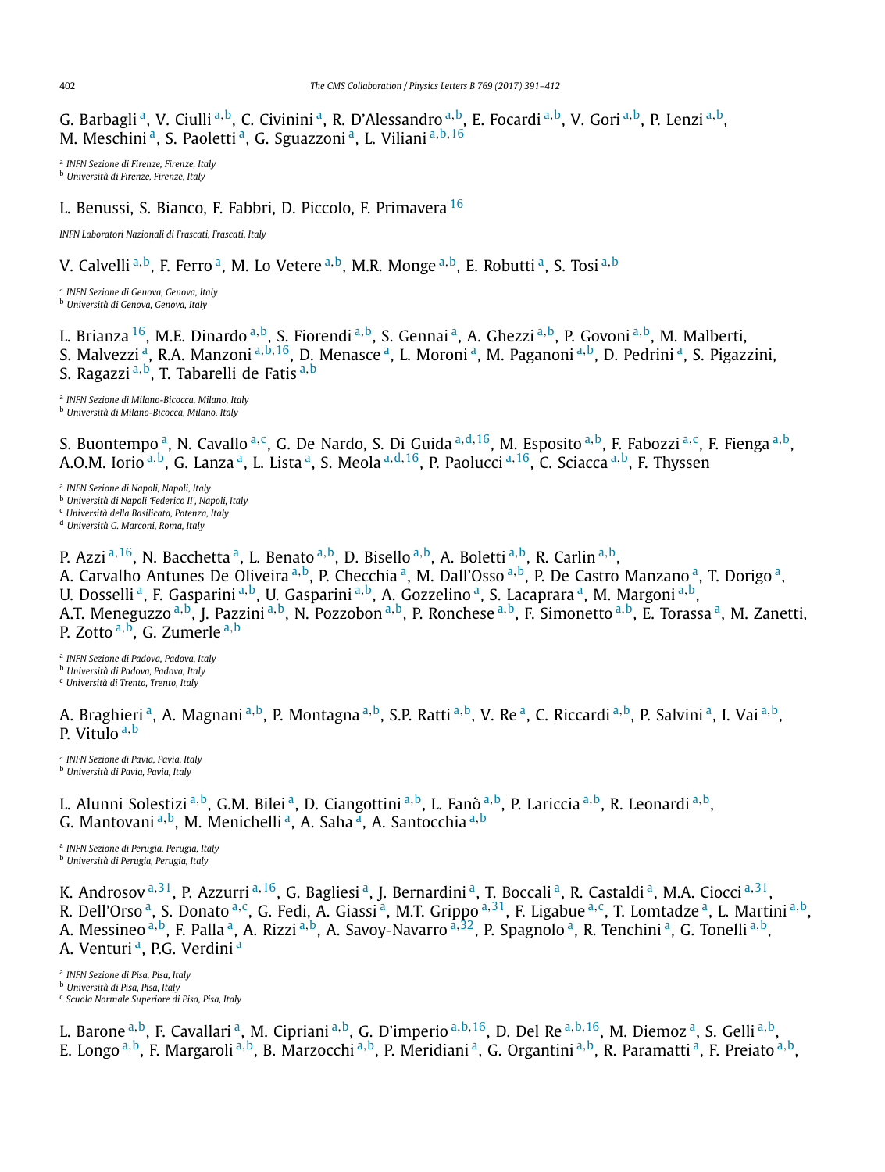G. Barbagli a, V. Ciulli <sup>a</sup>*,*b, C. Civinini a, R. D'Alessandro <sup>a</sup>*,*b, E. Focardi <sup>a</sup>*,*b, V. Gori <sup>a</sup>*,*b, P. Lenzi <sup>a</sup>*,*b, M. Meschini a, S. Paoletti a, G. Sguazzoni a, L. Viliani <sup>a</sup>*,*b*,*[16](#page-20-0)

<sup>a</sup> *INFN Sezione di Firenze, Firenze, Italy* <sup>b</sup> *Università di Firenze, Firenze, Italy*

### L. Benussi, S. Bianco, F. Fabbri, D. Piccolo, F. Primavera [16](#page-20-0)

*INFN Laboratori Nazionali di Frascati, Frascati, Italy*

V. Calvelli <sup>a</sup>*,*b, F. Ferro a, M. Lo Vetere <sup>a</sup>*,*b, M.R. Monge <sup>a</sup>*,*b, E. Robutti a, S. Tosi <sup>a</sup>*,*<sup>b</sup>

<sup>a</sup> *INFN Sezione di Genova, Genova, Italy* <sup>b</sup> *Università di Genova, Genova, Italy*

L. Brianza [16,](#page-20-0) M.E. Dinardo <sup>a</sup>*,*b, S. Fiorendi <sup>a</sup>*,*b, S. Gennai a, A. Ghezzi <sup>a</sup>*,*b, P. Govoni <sup>a</sup>*,*b, M. Malberti, S. Malvezzi<sup>a</sup>, R.A. Manzoni<sup>a,b,16</sup>, D. Menasce<sup>a</sup>, L. Moroni<sup>a</sup>, M. Paganoni<sup>a,b</sup>, D. Pedrini<sup>a</sup>, S. Pigazzini, S. Ragazzi <sup>a</sup>*,*b, T. Tabarelli de Fatis <sup>a</sup>*,*<sup>b</sup>

<sup>a</sup> *INFN Sezione di Milano-Bicocca, Milano, Italy*

<sup>b</sup> *Università di Milano-Bicocca, Milano, Italy*

S. Buontempo a, N. Cavallo <sup>a</sup>*,*c, G. De Nardo, S. Di Guida <sup>a</sup>*,*d*,*[16,](#page-20-0) M. Esposito <sup>a</sup>*,*b, F. Fabozzi <sup>a</sup>*,*c, F. Fienga <sup>a</sup>*,*b, A.O.M. Iorio <sup>a</sup>*,*b, G. Lanza a, L. Lista a, S. Meola <sup>a</sup>*,*d*,*[16,](#page-20-0) P. Paolucci <sup>a</sup>*,*[16,](#page-20-0) C. Sciacca <sup>a</sup>*,*b, F. Thyssen

<sup>a</sup> *INFN Sezione di Napoli, Napoli, Italy*

<sup>b</sup> *Università di Napoli 'Federico II', Napoli, Italy*

<sup>c</sup> *Università della Basilicata, Potenza, Italy*

<sup>d</sup> *Università G. Marconi, Roma, Italy*

P. Azzi <sup>a</sup>*,*[16,](#page-20-0) N. Bacchetta a, L. Benato <sup>a</sup>*,*b, D. Bisello <sup>a</sup>*,*b, A. Boletti <sup>a</sup>*,*b, R. Carlin <sup>a</sup>*,*b, A. Carvalho Antunes De Oliveira a,b, P. Checchia <sup>a</sup>, M. Dall'Osso a,b, P. De Castro Manzano <sup>a</sup>, T. Dorigo <sup>a</sup>, U. Dosselli<sup>a</sup>, F. Gasparini<sup>a,b</sup>, U. Gasparini<sup>a,b</sup>, A. Gozzelino<sup>a</sup>, S. Lacaprara<sup>a</sup>, M. Margoni<sup>a,b</sup>, A.T. Meneguzzo <sup>a</sup>*,*b, J. Pazzini <sup>a</sup>*,*b, N. Pozzobon <sup>a</sup>*,*b, P. Ronchese <sup>a</sup>*,*b, F. Simonetto <sup>a</sup>*,*b, E. Torassa a, M. Zanetti, P. Zotto <sup>a</sup>*,*b, G. Zumerle <sup>a</sup>*,*<sup>b</sup>

<sup>a</sup> *INFN Sezione di Padova, Padova, Italy*

<sup>b</sup> *Università di Padova, Padova, Italy*

<sup>c</sup> *Università di Trento, Trento, Italy*

A. Braghieri<sup>a</sup>, A. Magnani<sup>a, b</sup>, P. Montagna<sup>a, b</sup>, S.P. Ratti<sup>a, b</sup>, V. Re<sup>a</sup>, C. Riccardi<sup>a, b</sup>, P. Salvini<sup>a</sup>, I. Vai<sup>a, b</sup>, P. Vitulo <sup>a</sup>*,*<sup>b</sup>

<sup>a</sup> *INFN Sezione di Pavia, Pavia, Italy* <sup>b</sup> *Università di Pavia, Pavia, Italy*

L. Alunni Solestizi <sup>a</sup>*,*b, G.M. Bilei a, D. Ciangottini <sup>a</sup>*,*b, L. Fanò <sup>a</sup>*,*b, P. Lariccia <sup>a</sup>*,*b, R. Leonardi <sup>a</sup>*,*b, G. Mantovani <sup>a</sup>*,*b, M. Menichelli a, A. Saha a, A. Santocchia <sup>a</sup>*,*<sup>b</sup>

<sup>a</sup> *INFN Sezione di Perugia, Perugia, Italy* <sup>b</sup> *Università di Perugia, Perugia, Italy*

K. Androsov<sup>a, 31</sup>, P. Azzurri<sup>a, [16](#page-20-0)</sup>, G. Bagliesi<sup>a</sup>, J. Bernardini<sup>a</sup>, T. Boccali<sup>a</sup>, R. Castaldi<sup>a</sup>, M.A. Ciocci<sup>a, 31</sup>, R. Dell'Orso a, S. Donato <sup>a</sup>*,*c, G. Fedi, A. Giassi a, M.T. Grippo <sup>a</sup>*,*[31,](#page-20-0) F. Ligabue <sup>a</sup>*,*c, T. Lomtadze a, L. Martini <sup>a</sup>*,*b, A. Messineo <sup>a</sup>*,*b, F. Palla a, A. Rizzi <sup>a</sup>*,*b, A. Savoy-Navarro <sup>a</sup>*,*[32,](#page-20-0) P. Spagnolo a, R. Tenchini a, G. Tonelli <sup>a</sup>*,*b, A. Venturi<sup>a</sup>, P.G. Verdini<sup>a</sup>

<sup>a</sup> *INFN Sezione di Pisa, Pisa, Italy*

<sup>b</sup> *Università di Pisa, Pisa, Italy*

<sup>c</sup> *Scuola Normale Superiore di Pisa, Pisa, Italy*

L. Barone [a](#page-12-0)*,*[b,](#page-12-0) F. Cavallari [a,](#page-12-0) M. Cipriani [a](#page-12-0)*,*[b,](#page-12-0) G. D'imperio [a](#page-12-0)*,*[b](#page-12-0)*,*[16,](#page-20-0) D. Del Re [a](#page-12-0)*,*[b](#page-12-0)*,*[16,](#page-20-0) M. Diemoz [a,](#page-12-0) S. Gelli [a](#page-12-0)*,*[b](#page-12-0), E. Longo [a](#page-12-0)*,*[b,](#page-12-0) F. Margaroli [a](#page-12-0)*,*[b,](#page-12-0) B. Marzocchi [a](#page-12-0)*,*[b,](#page-12-0) P. Meridiani [a,](#page-12-0) G. Organtini [a](#page-12-0)*,*[b,](#page-12-0) R. Paramatti [a,](#page-12-0) F. Preiato [a](#page-12-0)*,*[b,](#page-12-0)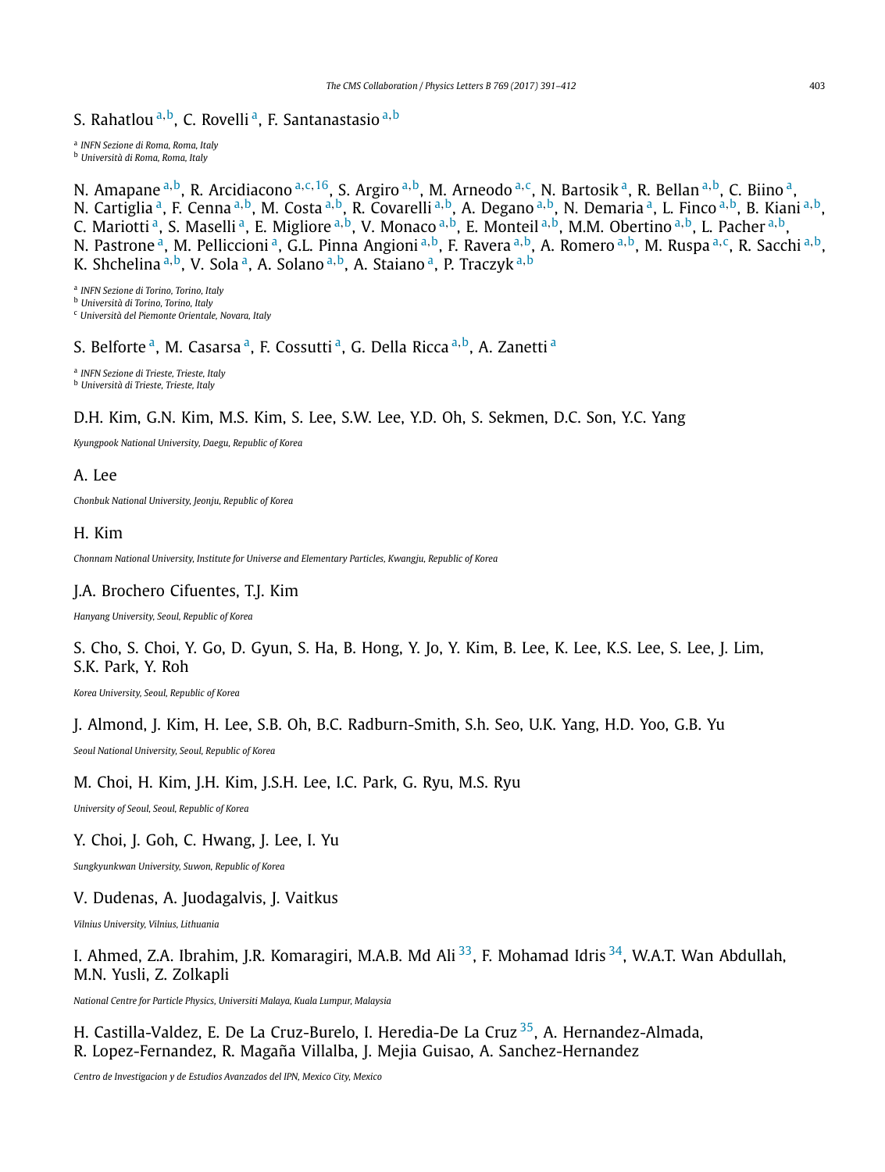# <span id="page-12-0"></span>S. Rahatlou <sup>a</sup>*,*b, C. Rovelli a, F. Santanastasio <sup>a</sup>*,*<sup>b</sup>

<sup>a</sup> *INFN Sezione di Roma, Roma, Italy* <sup>b</sup> *Università di Roma, Roma, Italy*

N. Amapane <sup>a</sup>*,*b, R. Arcidiacono <sup>a</sup>*,*c*,*[16,](#page-20-0) S. Argiro <sup>a</sup>*,*b, M. Arneodo <sup>a</sup>*,*c, N. Bartosik a, R. Bellan <sup>a</sup>*,*b, C. Biino a, N. Cartiglia a, F. Cenna <sup>a</sup>*,*b, M. Costa <sup>a</sup>*,*b, R. Covarelli <sup>a</sup>*,*b, A. Degano <sup>a</sup>*,*b, N. Demaria a, L. Finco <sup>a</sup>*,*b, B. Kiani <sup>a</sup>*,*b, C. Mariotti <sup>a</sup>, S. Maselli <sup>a</sup>, E. Migliore <sup>a,b</sup>, V. Monaco <sup>a,b</sup>, E. Monteil <sup>a,b</sup>, M.M. Obertino <sup>a,b</sup>, L. Pacher <sup>a,b</sup>, N. Pastrone a, M. Pelliccioni a, G.L. Pinna Angioni <sup>a</sup>*,*b, F. Ravera <sup>a</sup>*,*b, A. Romero <sup>a</sup>*,*b, M. Ruspa <sup>a</sup>*,*c, R. Sacchi <sup>a</sup>*,*b, K. Shchelina <sup>a</sup>*,*b, V. Sola a, A. Solano <sup>a</sup>*,*b, A. Staiano a, P. Traczyk <sup>a</sup>*,*<sup>b</sup>

<sup>a</sup> *INFN Sezione di Torino, Torino, Italy*

<sup>b</sup> *Università di Torino, Torino, Italy*

<sup>c</sup> *Università del Piemonte Orientale, Novara, Italy*

# S. Belforte<sup>a</sup>, M. Casarsa<sup>a</sup>, F. Cossutti<sup>a</sup>, G. Della Ricca<sup>a,b</sup>. A. Zanetti<sup>a</sup>

<sup>a</sup> *INFN Sezione di Trieste, Trieste, Italy* <sup>b</sup> *Università di Trieste, Trieste, Italy*

#### D.H. Kim, G.N. Kim, M.S. Kim, S. Lee, S.W. Lee, Y.D. Oh, S. Sekmen, D.C. Son, Y.C. Yang

*Kyungpook National University, Daegu, Republic of Korea*

### A. Lee

*Chonbuk National University, Jeonju, Republic of Korea*

### H. Kim

*Chonnam National University, Institute for Universe and Elementary Particles, Kwangju, Republic of Korea*

### J.A. Brochero Cifuentes, T.J. Kim

*Hanyang University, Seoul, Republic of Korea*

S. Cho, S. Choi, Y. Go, D. Gyun, S. Ha, B. Hong, Y. Jo, Y. Kim, B. Lee, K. Lee, K.S. Lee, S. Lee, J. Lim, S.K. Park, Y. Roh

*Korea University, Seoul, Republic of Korea*

#### J. Almond, J. Kim, H. Lee, S.B. Oh, B.C. Radburn-Smith, S.h. Seo, U.K. Yang, H.D. Yoo, G.B. Yu

*Seoul National University, Seoul, Republic of Korea*

### M. Choi, H. Kim, J.H. Kim, J.S.H. Lee, I.C. Park, G. Ryu, M.S. Ryu

*University of Seoul, Seoul, Republic of Korea*

### Y. Choi, J. Goh, C. Hwang, J. Lee, I. Yu

*Sungkyunkwan University, Suwon, Republic of Korea*

### V. Dudenas, A. Juodagalvis, J. Vaitkus

*Vilnius University, Vilnius, Lithuania*

# I. Ahmed, Z.A. Ibrahim, J.R. Komaragiri, M.A.B. Md Ali  $^{33}$ , F. Mohamad Idris  $^{34}$ , W.A.T. Wan Abdullah, M.N. Yusli, Z. Zolkapli

*National Centre for Particle Physics, Universiti Malaya, Kuala Lumpur, Malaysia*

H. Castilla-Valdez, E. De La Cruz-Burelo, I. Heredia-De La Cruz<sup>35</sup>, A. Hernandez-Almada, R. Lopez-Fernandez, R. Magaña Villalba, J. Mejia Guisao, A. Sanchez-Hernandez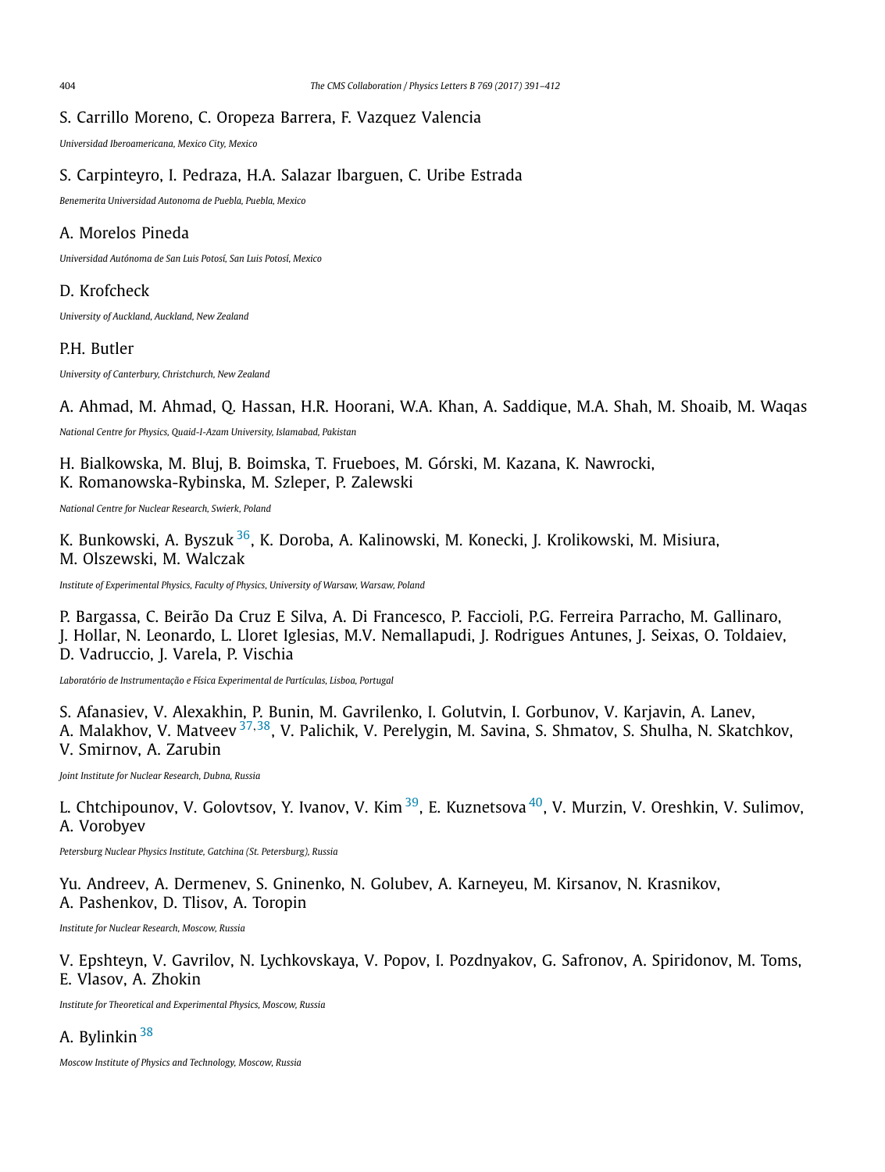# S. Carrillo Moreno, C. Oropeza Barrera, F. Vazquez Valencia

*Universidad Iberoamericana, Mexico City, Mexico*

### S. Carpinteyro, I. Pedraza, H.A. Salazar Ibarguen, C. Uribe Estrada

*Benemerita Universidad Autonoma de Puebla, Puebla, Mexico*

# A. Morelos Pineda

*Universidad Autónoma de San Luis Potosí, San Luis Potosí, Mexico*

### D. Krofcheck

*University of Auckland, Auckland, New Zealand*

### P.H. Butler

*University of Canterbury, Christchurch, New Zealand*

A. Ahmad, M. Ahmad, Q. Hassan, H.R. Hoorani, W.A. Khan, A. Saddique, M.A. Shah, M. Shoaib, M. Waqas

*National Centre for Physics, Quaid-I-Azam University, Islamabad, Pakistan*

H. Bialkowska, M. Bluj, B. Boimska, T. Frueboes, M. Górski, M. Kazana, K. Nawrocki, K. Romanowska-Rybinska, M. Szleper, P. Zalewski

*National Centre for Nuclear Research, Swierk, Poland*

K. Bunkowski, A. Byszuk [36](#page-20-0), K. Doroba, A. Kalinowski, M. Konecki, J. Krolikowski, M. Misiura, M. Olszewski, M. Walczak

*Institute of Experimental Physics, Faculty of Physics, University of Warsaw, Warsaw, Poland*

P. Bargassa, C. Beirão Da Cruz E Silva, A. Di Francesco, P. Faccioli, P.G. Ferreira Parracho, M. Gallinaro, J. Hollar, N. Leonardo, L. Lloret Iglesias, M.V. Nemallapudi, J. Rodrigues Antunes, J. Seixas, O. Toldaiev, D. Vadruccio, J. Varela, P. Vischia

*Laboratório de Instrumentação e Física Experimental de Partículas, Lisboa, Portugal*

S. Afanasiev, V. Alexakhin, P. Bunin, M. Gavrilenko, I. Golutvin, I. Gorbunov, V. Karjavin, A. Lanev, A. Malakhov, V. Matveev [37](#page-20-0)*,*[38,](#page-20-0) V. Palichik, V. Perelygin, M. Savina, S. Shmatov, S. Shulha, N. Skatchkov, V. Smirnov, A. Zarubin

*Joint Institute for Nuclear Research, Dubna, Russia*

L. Chtchipounov, V. Golovtsov, Y. Ivanov, V. Kim<sup>39</sup>, E. Kuznetsova<sup>40</sup>, V. Murzin, V. Oreshkin, V. Sulimov, A. Vorobyev

*Petersburg Nuclear Physics Institute, Gatchina (St. Petersburg), Russia*

Yu. Andreev, A. Dermenev, S. Gninenko, N. Golubev, A. Karneyeu, M. Kirsanov, N. Krasnikov, A. Pashenkov, D. Tlisov, A. Toropin

*Institute for Nuclear Research, Moscow, Russia*

V. Epshteyn, V. Gavrilov, N. Lychkovskaya, V. Popov, I. Pozdnyakov, G. Safronov, A. Spiridonov, M. Toms, E. Vlasov, A. Zhokin

*Institute for Theoretical and Experimental Physics, Moscow, Russia*

### A. Bylinkin<sup>[38](#page-20-0)</sup>

*Moscow Institute of Physics and Technology, Moscow, Russia*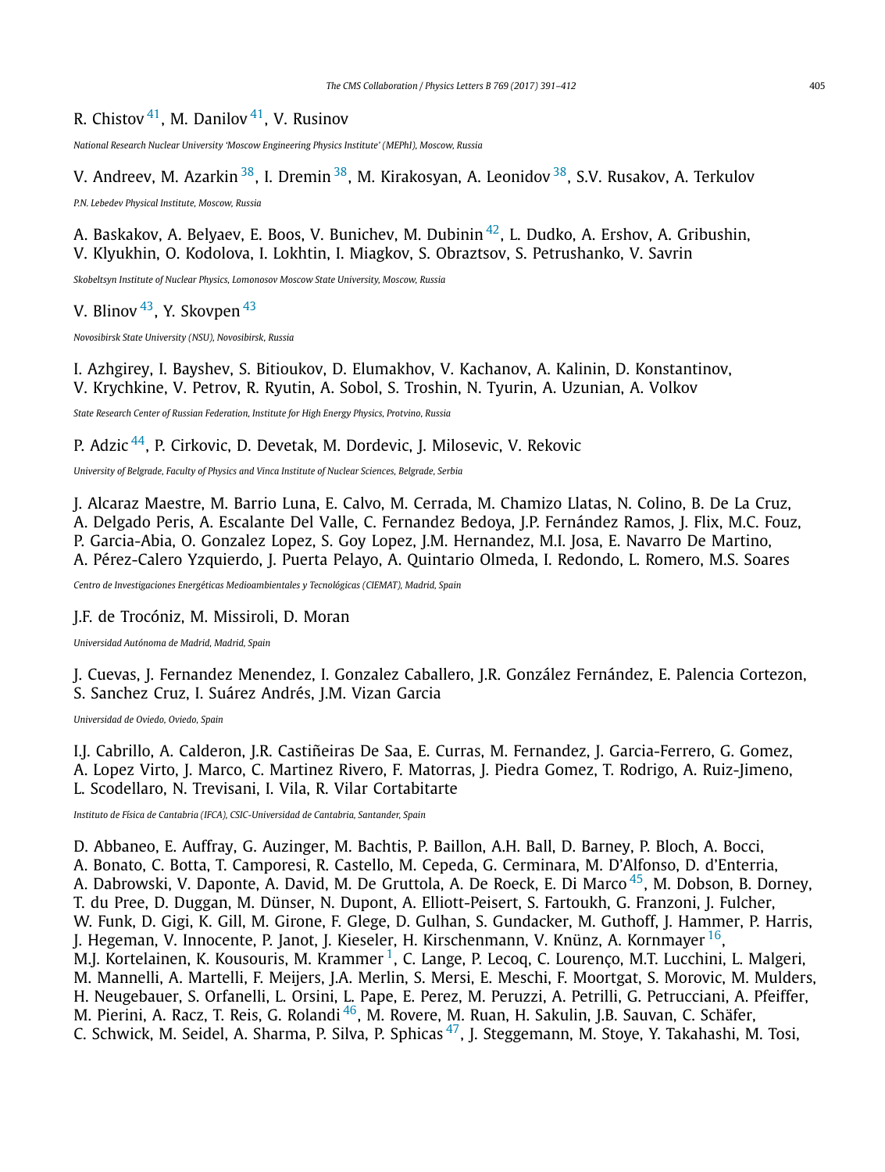# R. Chistov<sup>[41](#page-20-0)</sup>, M. Danilov<sup>41</sup>, V. Rusinov

*National Research Nuclear University 'Moscow Engineering Physics Institute' (MEPhI), Moscow, Russia*

V. Andreev, M. Azarkin [38](#page-20-0), I. Dremin [38,](#page-20-0) M. Kirakosyan, A. Leonidov [38,](#page-20-0) S.V. Rusakov, A. Terkulov

*P.N. Lebedev Physical Institute, Moscow, Russia*

A. Baskakov, A. Belyaev, E. Boos, V. Bunichev, M. Dubinin [42,](#page-21-0) L. Dudko, A. Ershov, A. Gribushin, V. Klyukhin, O. Kodolova, I. Lokhtin, I. Miagkov, S. Obraztsov, S. Petrushanko, V. Savrin

*Skobeltsyn Institute of Nuclear Physics, Lomonosov Moscow State University, Moscow, Russia*

# V. Blinov<sup>[43](#page-21-0)</sup>, Y. Skovpen<sup>43</sup>

*Novosibirsk State University (NSU), Novosibirsk, Russia*

I. Azhgirey, I. Bayshev, S. Bitioukov, D. Elumakhov, V. Kachanov, A. Kalinin, D. Konstantinov, V. Krychkine, V. Petrov, R. Ryutin, A. Sobol, S. Troshin, N. Tyurin, A. Uzunian, A. Volkov

*State Research Center of Russian Federation, Institute for High Energy Physics, Protvino, Russia*

### P. Adzic<sup>44</sup>, P. Cirkovic, D. Devetak, M. Dordevic, J. Milosevic, V. Rekovic

*University of Belgrade, Faculty of Physics and Vinca Institute of Nuclear Sciences, Belgrade, Serbia*

J. Alcaraz Maestre, M. Barrio Luna, E. Calvo, M. Cerrada, M. Chamizo Llatas, N. Colino, B. De La Cruz, A. Delgado Peris, A. Escalante Del Valle, C. Fernandez Bedoya, J.P. Fernández Ramos, J. Flix, M.C. Fouz, P. Garcia-Abia, O. Gonzalez Lopez, S. Goy Lopez, J.M. Hernandez, M.I. Josa, E. Navarro De Martino, A. Pérez-Calero Yzquierdo, J. Puerta Pelayo, A. Quintario Olmeda, I. Redondo, L. Romero, M.S. Soares

*Centro de Investigaciones Energéticas Medioambientales y Tecnológicas (CIEMAT), Madrid, Spain*

### J.F. de Trocóniz, M. Missiroli, D. Moran

*Universidad Autónoma de Madrid, Madrid, Spain*

J. Cuevas, J. Fernandez Menendez, I. Gonzalez Caballero, J.R. González Fernández, E. Palencia Cortezon, S. Sanchez Cruz, I. Suárez Andrés, J.M. Vizan Garcia

*Universidad de Oviedo, Oviedo, Spain*

I.J. Cabrillo, A. Calderon, J.R. Castiñeiras De Saa, E. Curras, M. Fernandez, J. Garcia-Ferrero, G. Gomez, A. Lopez Virto, J. Marco, C. Martinez Rivero, F. Matorras, J. Piedra Gomez, T. Rodrigo, A. Ruiz-Jimeno, L. Scodellaro, N. Trevisani, I. Vila, R. Vilar Cortabitarte

*Instituto de Física de Cantabria (IFCA), CSIC-Universidad de Cantabria, Santander, Spain*

D. Abbaneo, E. Auffray, G. Auzinger, M. Bachtis, P. Baillon, A.H. Ball, D. Barney, P. Bloch, A. Bocci, A. Bonato, C. Botta, T. Camporesi, R. Castello, M. Cepeda, G. Cerminara, M. D'Alfonso, D. d'Enterria, A. Dabrowski, V. Daponte, A. David, M. De Gruttola, A. De Roeck, E. Di Marco [45,](#page-21-0) M. Dobson, B. Dorney, T. du Pree, D. Duggan, M. Dünser, N. Dupont, A. Elliott-Peisert, S. Fartoukh, G. Franzoni, J. Fulcher, W. Funk, D. Gigi, K. Gill, M. Girone, F. Glege, D. Gulhan, S. Gundacker, M. Guthoff, J. Hammer, P. Harris, J. Hegeman, V. Innocente, P. Janot, J. Kieseler, H. Kirschenmann, V. Knünz, A. Kornmayer [16](#page-20-0), M.J. Kortelainen, K. Kousouris, M. Krammer<sup>[1](#page-20-0)</sup>, C. Lange, P. Lecoq, C. Lourenço, M.T. Lucchini, L. Malgeri, M. Mannelli, A. Martelli, F. Meijers, J.A. Merlin, S. Mersi, E. Meschi, F. Moortgat, S. Morovic, M. Mulders, H. Neugebauer, S. Orfanelli, L. Orsini, L. Pape, E. Perez, M. Peruzzi, A. Petrilli, G. Petrucciani, A. Pfeiffer, M. Pierini, A. Racz, T. Reis, G. Rolandi [46,](#page-21-0) M. Rovere, M. Ruan, H. Sakulin, J.B. Sauvan, C. Schäfer, C. Schwick, M. Seidel, A. Sharma, P. Silva, P. Sphicas [47](#page-21-0), J. Steggemann, M. Stoye, Y. Takahashi, M. Tosi,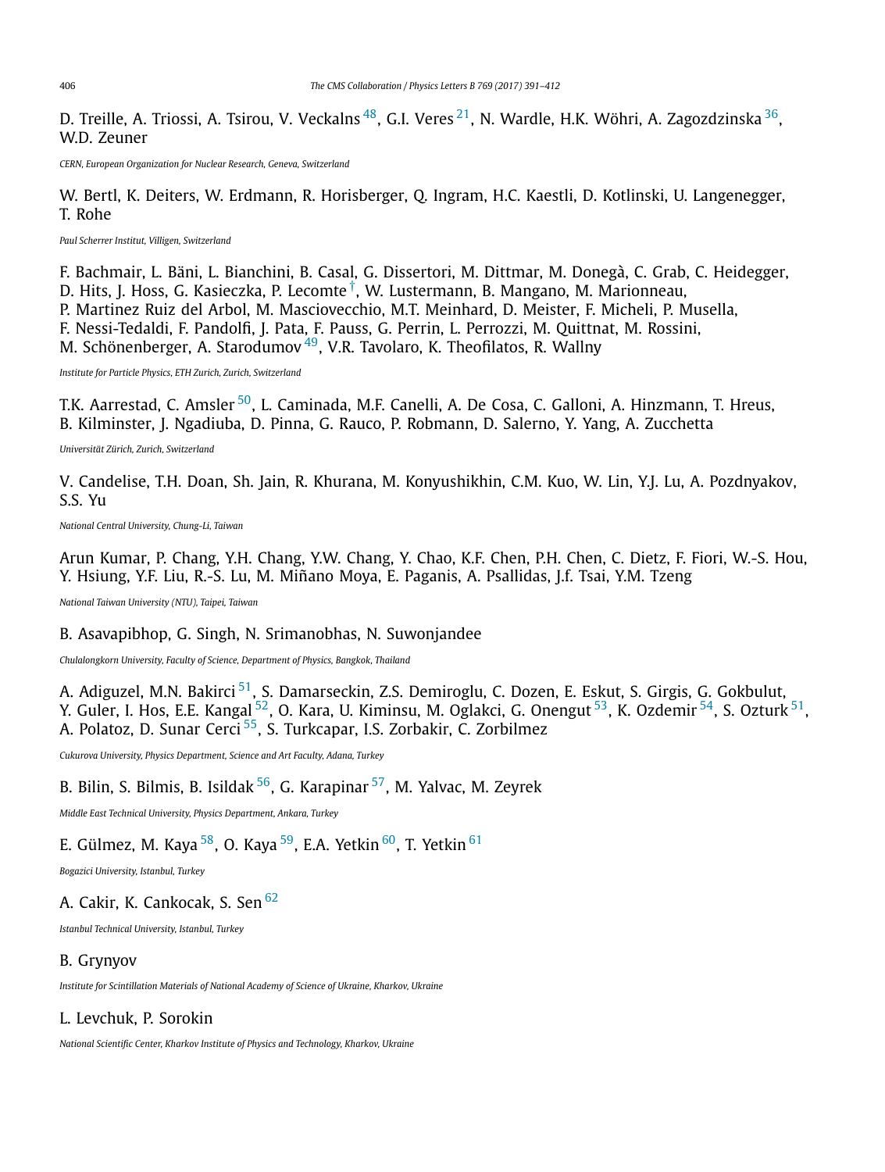# D. Treille, A. Triossi, A. Tsirou, V. Veckalns<sup>48</sup>, G.I. Veres<sup>21</sup>, N. Wardle, H.K. Wöhri, A. Zagozdzinska<sup>36</sup>, W.D. Zeuner

*CERN, European Organization for Nuclear Research, Geneva, Switzerland*

W. Bertl, K. Deiters, W. Erdmann, R. Horisberger, Q. Ingram, H.C. Kaestli, D. Kotlinski, U. Langenegger, T. Rohe

*Paul Scherrer Institut, Villigen, Switzerland*

F. Bachmair, L. Bäni, L. Bianchini, B. Casal, G. Dissertori, M. Dittmar, M. Donegà, C. Grab, C. Heidegger, D. Hits, J. Hoss, G. Kasieczka, P. Lecomte [†,](#page-20-0) W. Lustermann, B. Mangano, M. Marionneau, P. Martinez Ruiz del Arbol, M. Masciovecchio, M.T. Meinhard, D. Meister, F. Micheli, P. Musella, F. Nessi-Tedaldi, F. Pandolfi, J. Pata, F. Pauss, G. Perrin, L. Perrozzi, M. Quittnat, M. Rossini, M. Schönenberger, A. Starodumov [49](#page-21-0), V.R. Tavolaro, K. Theofilatos, R. Wallny

*Institute for Particle Physics, ETH Zurich, Zurich, Switzerland*

T.K. Aarrestad, C. Amsler <sup>50</sup>, L. Caminada, M.F. Canelli, A. De Cosa, C. Galloni, A. Hinzmann, T. Hreus, B. Kilminster, J. Ngadiuba, D. Pinna, G. Rauco, P. Robmann, D. Salerno, Y. Yang, A. Zucchetta

*Universität Zürich, Zurich, Switzerland*

V. Candelise, T.H. Doan, Sh. Jain, R. Khurana, M. Konyushikhin, C.M. Kuo, W. Lin, Y.J. Lu, A. Pozdnyakov, S.S. Yu

*National Central University, Chung-Li, Taiwan*

Arun Kumar, P. Chang, Y.H. Chang, Y.W. Chang, Y. Chao, K.F. Chen, P.H. Chen, C. Dietz, F. Fiori, W.-S. Hou, Y. Hsiung, Y.F. Liu, R.-S. Lu, M. Miñano Moya, E. Paganis, A. Psallidas, J.f. Tsai, Y.M. Tzeng

*National Taiwan University (NTU), Taipei, Taiwan*

### B. Asavapibhop, G. Singh, N. Srimanobhas, N. Suwonjandee

*Chulalongkorn University, Faculty of Science, Department of Physics, Bangkok, Thailand*

A. Adiguzel, M.N. Bakirci<sup>51</sup>, S. Damarseckin, Z.S. Demiroglu, C. Dozen, E. Eskut, S. Girgis, G. Gokbulut, Y. Guler, I. Hos, E.E. Kangal <sup>52</sup>, O. Kara, U. Kiminsu, M. Oglakci, G. Onengut <sup>53</sup>, K. Ozdemir <sup>54</sup>, S. Ozturk <sup>51</sup>, A. Polatoz, D. Sunar Cerci [55,](#page-21-0) S. Turkcapar, I.S. Zorbakir, C. Zorbilmez

*Cukurova University, Physics Department, Science and Art Faculty, Adana, Turkey*

### B. Bilin, S. Bilmis, B. Isildak  $56$ , G. Karapinar  $57$ , M. Yalvac, M. Zeyrek

*Middle East Technical University, Physics Department, Ankara, Turkey*

### E. Gülmez, M. Kaya  $^{58}$  $^{58}$  $^{58}$ , O. Kaya  $^{59}$ , E.A. Yetkin  $^{60}$ , T. Yetkin  $^{61}$  $^{61}$  $^{61}$

*Bogazici University, Istanbul, Turkey*

#### A. Cakir, K. Cankocak, S. Sen <sup>[62](#page-21-0)</sup>

*Istanbul Technical University, Istanbul, Turkey*

#### B. Grynyov

*Institute for Scintillation Materials of National Academy of Science of Ukraine, Kharkov, Ukraine*

### L. Levchuk, P. Sorokin

*National Scientific Center, Kharkov Institute of Physics and Technology, Kharkov, Ukraine*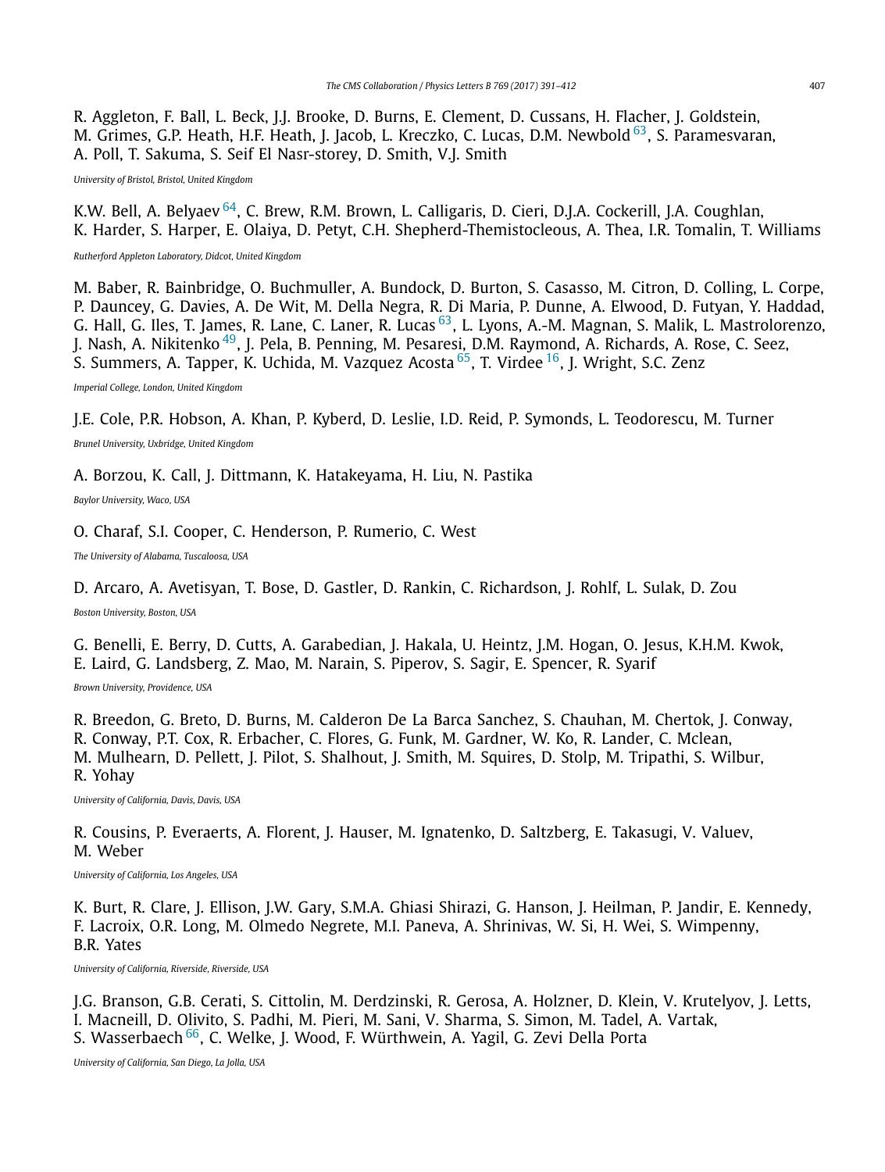R. Aggleton, F. Ball, L. Beck, J.J. Brooke, D. Burns, E. Clement, D. Cussans, H. Flacher, J. Goldstein, M. Grimes, G.P. Heath, H.F. Heath, J. Jacob, L. Kreczko, C. Lucas, D.M. Newbold <sup>63</sup>, S. Paramesvaran, A. Poll, T. Sakuma, S. Seif El Nasr-storey, D. Smith, V.J. Smith

*University of Bristol, Bristol, United Kingdom*

K.W. Bell, A. Belyaev [64,](#page-21-0) C. Brew, R.M. Brown, L. Calligaris, D. Cieri, D.J.A. Cockerill, J.A. Coughlan, K. Harder, S. Harper, E. Olaiya, D. Petyt, C.H. Shepherd-Themistocleous, A. Thea, I.R. Tomalin, T. Williams

*Rutherford Appleton Laboratory, Didcot, United Kingdom*

M. Baber, R. Bainbridge, O. Buchmuller, A. Bundock, D. Burton, S. Casasso, M. Citron, D. Colling, L. Corpe, P. Dauncey, G. Davies, A. De Wit, M. Della Negra, R. Di Maria, P. Dunne, A. Elwood, D. Futyan, Y. Haddad, G. Hall, G. Iles, T. James, R. Lane, C. Laner, R. Lucas [63,](#page-21-0) L. Lyons, A.-M. Magnan, S. Malik, L. Mastrolorenzo, J. Nash, A. Nikitenko [49,](#page-21-0) J. Pela, B. Penning, M. Pesaresi, D.M. Raymond, A. Richards, A. Rose, C. Seez, S. Summers, A. Tapper, K. Uchida, M. Vazquez Acosta <sup>65</sup>, T. Virdee <sup>[16](#page-20-0)</sup>, J. Wright, S.C. Zenz

*Imperial College, London, United Kingdom*

J.E. Cole, P.R. Hobson, A. Khan, P. Kyberd, D. Leslie, I.D. Reid, P. Symonds, L. Teodorescu, M. Turner

*Brunel University, Uxbridge, United Kingdom*

A. Borzou, K. Call, J. Dittmann, K. Hatakeyama, H. Liu, N. Pastika

*Baylor University, Waco, USA*

O. Charaf, S.I. Cooper, C. Henderson, P. Rumerio, C. West

*The University of Alabama, Tuscaloosa, USA*

D. Arcaro, A. Avetisyan, T. Bose, D. Gastler, D. Rankin, C. Richardson, J. Rohlf, L. Sulak, D. Zou

*Boston University, Boston, USA*

G. Benelli, E. Berry, D. Cutts, A. Garabedian, J. Hakala, U. Heintz, J.M. Hogan, O. Jesus, K.H.M. Kwok, E. Laird, G. Landsberg, Z. Mao, M. Narain, S. Piperov, S. Sagir, E. Spencer, R. Syarif

*Brown University, Providence, USA*

R. Breedon, G. Breto, D. Burns, M. Calderon De La Barca Sanchez, S. Chauhan, M. Chertok, J. Conway, R. Conway, P.T. Cox, R. Erbacher, C. Flores, G. Funk, M. Gardner, W. Ko, R. Lander, C. Mclean, M. Mulhearn, D. Pellett, J. Pilot, S. Shalhout, J. Smith, M. Squires, D. Stolp, M. Tripathi, S. Wilbur, R. Yohay

*University of California, Davis, Davis, USA*

R. Cousins, P. Everaerts, A. Florent, J. Hauser, M. Ignatenko, D. Saltzberg, E. Takasugi, V. Valuev, M. Weber

*University of California, Los Angeles, USA*

K. Burt, R. Clare, J. Ellison, J.W. Gary, S.M.A. Ghiasi Shirazi, G. Hanson, J. Heilman, P. Jandir, E. Kennedy, F. Lacroix, O.R. Long, M. Olmedo Negrete, M.I. Paneva, A. Shrinivas, W. Si, H. Wei, S. Wimpenny, B.R. Yates

*University of California, Riverside, Riverside, USA*

J.G. Branson, G.B. Cerati, S. Cittolin, M. Derdzinski, R. Gerosa, A. Holzner, D. Klein, V. Krutelyov, J. Letts, I. Macneill, D. Olivito, S. Padhi, M. Pieri, M. Sani, V. Sharma, S. Simon, M. Tadel, A. Vartak, S. Wasserbaech [66,](#page-21-0) C. Welke, J. Wood, F. Würthwein, A. Yagil, G. Zevi Della Porta

*University of California, San Diego, La Jolla, USA*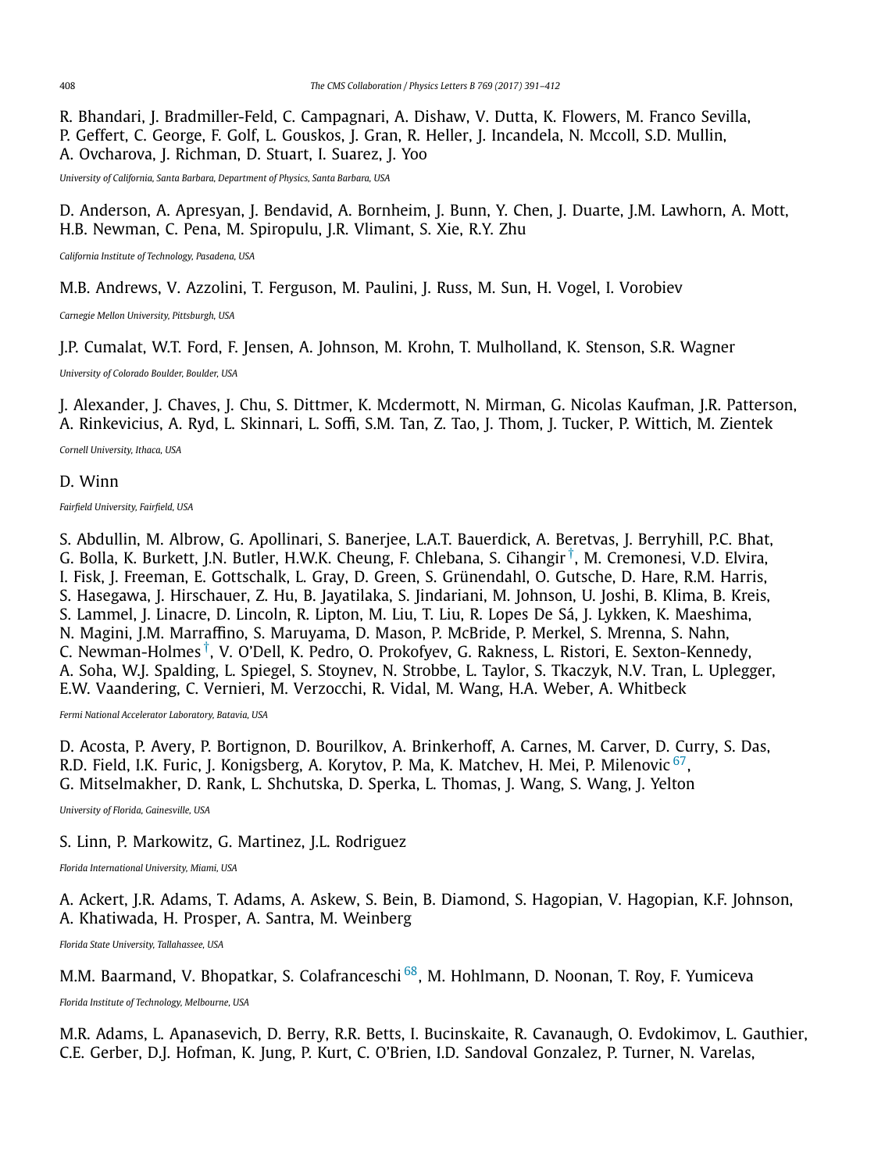R. Bhandari, J. Bradmiller-Feld, C. Campagnari, A. Dishaw, V. Dutta, K. Flowers, M. Franco Sevilla, P. Geffert, C. George, F. Golf, L. Gouskos, J. Gran, R. Heller, J. Incandela, N. Mccoll, S.D. Mullin, A. Ovcharova, J. Richman, D. Stuart, I. Suarez, J. Yoo

*University of California, Santa Barbara, Department of Physics, Santa Barbara, USA*

D. Anderson, A. Apresyan, J. Bendavid, A. Bornheim, J. Bunn, Y. Chen, J. Duarte, J.M. Lawhorn, A. Mott, H.B. Newman, C. Pena, M. Spiropulu, J.R. Vlimant, S. Xie, R.Y. Zhu

*California Institute of Technology, Pasadena, USA*

M.B. Andrews, V. Azzolini, T. Ferguson, M. Paulini, J. Russ, M. Sun, H. Vogel, I. Vorobiev

*Carnegie Mellon University, Pittsburgh, USA*

J.P. Cumalat, W.T. Ford, F. Jensen, A. Johnson, M. Krohn, T. Mulholland, K. Stenson, S.R. Wagner

*University of Colorado Boulder, Boulder, USA*

J. Alexander, J. Chaves, J. Chu, S. Dittmer, K. Mcdermott, N. Mirman, G. Nicolas Kaufman, J.R. Patterson, A. Rinkevicius, A. Ryd, L. Skinnari, L. Soffi, S.M. Tan, Z. Tao, J. Thom, J. Tucker, P. Wittich, M. Zientek

*Cornell University, Ithaca, USA*

#### D. Winn

*Fairfield University, Fairfield, USA*

S. Abdullin, M. Albrow, G. Apollinari, S. Banerjee, L.A.T. Bauerdick, A. Beretvas, J. Berryhill, P.C. Bhat, G. Bolla, K. Burkett, J.N. Butler, H.W.K. Cheung, F. Chlebana, S. Cihangir [†](#page-20-0), M. Cremonesi, V.D. Elvira, I. Fisk, J. Freeman, E. Gottschalk, L. Gray, D. Green, S. Grünendahl, O. Gutsche, D. Hare, R.M. Harris, S. Hasegawa, J. Hirschauer, Z. Hu, B. Jayatilaka, S. Jindariani, M. Johnson, U. Joshi, B. Klima, B. Kreis, S. Lammel, J. Linacre, D. Lincoln, R. Lipton, M. Liu, T. Liu, R. Lopes De Sá, J. Lykken, K. Maeshima, N. Magini, J.M. Marraffino, S. Maruyama, D. Mason, P. McBride, P. Merkel, S. Mrenna, S. Nahn, C. Newman-Holmes  $\phi^{\dagger}$ , V. O'Dell, K. Pedro, O. Prokofyev, G. Rakness, L. Ristori, E. Sexton-Kennedy, A. Soha, W.J. Spalding, L. Spiegel, S. Stoynev, N. Strobbe, L. Taylor, S. Tkaczyk, N.V. Tran, L. Uplegger, E.W. Vaandering, C. Vernieri, M. Verzocchi, R. Vidal, M. Wang, H.A. Weber, A. Whitbeck

*Fermi National Accelerator Laboratory, Batavia, USA*

D. Acosta, P. Avery, P. Bortignon, D. Bourilkov, A. Brinkerhoff, A. Carnes, M. Carver, D. Curry, S. Das, R.D. Field, I.K. Furic, J. Konigsberg, A. Korytov, P. Ma, K. Matchev, H. Mei, P. Milenovic [67](#page-21-0), G. Mitselmakher, D. Rank, L. Shchutska, D. Sperka, L. Thomas, J. Wang, S. Wang, J. Yelton

*University of Florida, Gainesville, USA*

S. Linn, P. Markowitz, G. Martinez, J.L. Rodriguez

*Florida International University, Miami, USA*

A. Ackert, J.R. Adams, T. Adams, A. Askew, S. Bein, B. Diamond, S. Hagopian, V. Hagopian, K.F. Johnson, A. Khatiwada, H. Prosper, A. Santra, M. Weinberg

*Florida State University, Tallahassee, USA*

M.M. Baarmand, V. Bhopatkar, S. Colafranceschi<sup>68</sup>, M. Hohlmann, D. Noonan, T. Roy, F. Yumiceva

*Florida Institute of Technology, Melbourne, USA*

M.R. Adams, L. Apanasevich, D. Berry, R.R. Betts, I. Bucinskaite, R. Cavanaugh, O. Evdokimov, L. Gauthier, C.E. Gerber, D.J. Hofman, K. Jung, P. Kurt, C. O'Brien, I.D. Sandoval Gonzalez, P. Turner, N. Varelas,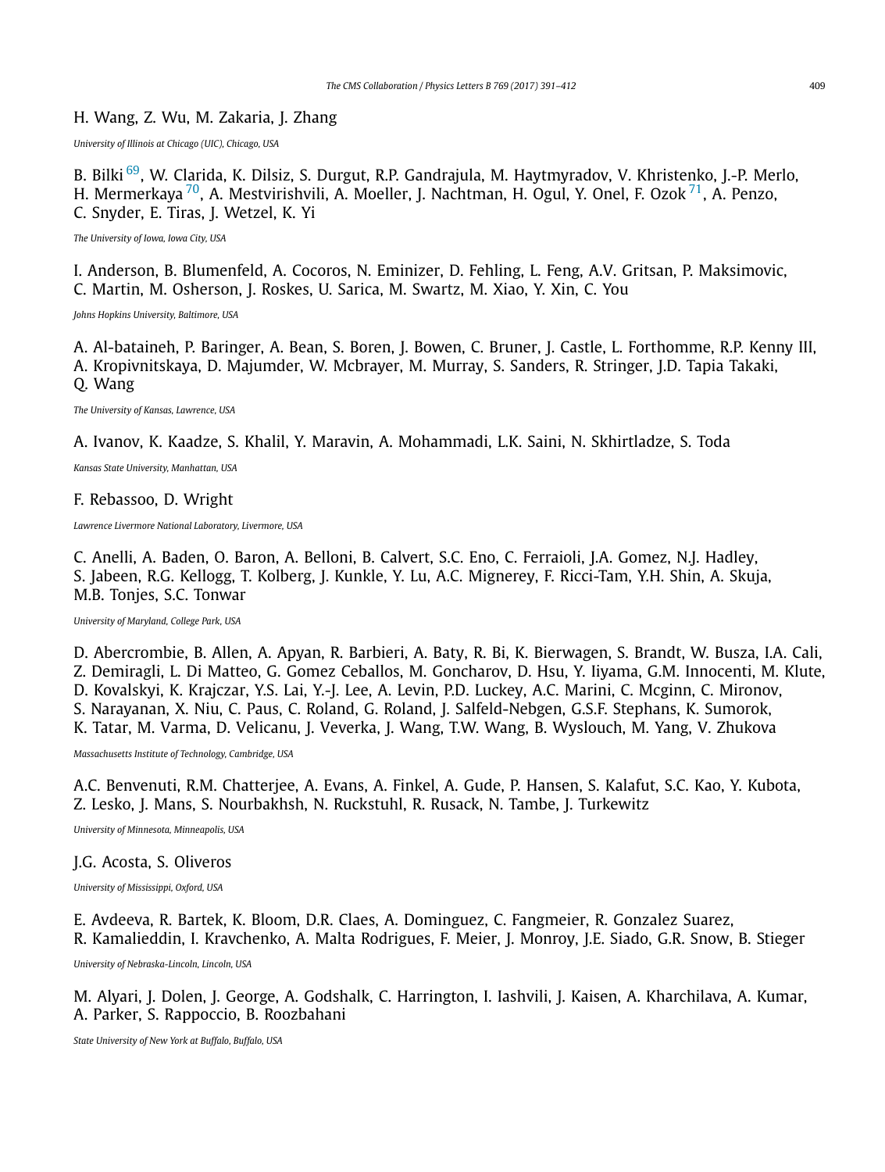### H. Wang, Z. Wu, M. Zakaria, J. Zhang

*University of Illinois at Chicago (UIC), Chicago, USA*

B. Bilki<sup>69</sup>, W. Clarida, K. Dilsiz, S. Durgut, R.P. Gandrajula, M. Haytmyradov, V. Khristenko, J.-P. Merlo, H. Mermerkaya [70,](#page-21-0) A. Mestvirishvili, A. Moeller, J. Nachtman, H. Ogul, Y. Onel, F. Ozok [71,](#page-21-0) A. Penzo, C. Snyder, E. Tiras, J. Wetzel, K. Yi

*The University of Iowa, Iowa City, USA*

I. Anderson, B. Blumenfeld, A. Cocoros, N. Eminizer, D. Fehling, L. Feng, A.V. Gritsan, P. Maksimovic, C. Martin, M. Osherson, J. Roskes, U. Sarica, M. Swartz, M. Xiao, Y. Xin, C. You

*Johns Hopkins University, Baltimore, USA*

A. Al-bataineh, P. Baringer, A. Bean, S. Boren, J. Bowen, C. Bruner, J. Castle, L. Forthomme, R.P. Kenny III, A. Kropivnitskaya, D. Majumder, W. Mcbrayer, M. Murray, S. Sanders, R. Stringer, J.D. Tapia Takaki, Q. Wang

*The University of Kansas, Lawrence, USA*

A. Ivanov, K. Kaadze, S. Khalil, Y. Maravin, A. Mohammadi, L.K. Saini, N. Skhirtladze, S. Toda

*Kansas State University, Manhattan, USA*

F. Rebassoo, D. Wright

*Lawrence Livermore National Laboratory, Livermore, USA*

C. Anelli, A. Baden, O. Baron, A. Belloni, B. Calvert, S.C. Eno, C. Ferraioli, J.A. Gomez, N.J. Hadley, S. Jabeen, R.G. Kellogg, T. Kolberg, J. Kunkle, Y. Lu, A.C. Mignerey, F. Ricci-Tam, Y.H. Shin, A. Skuja, M.B. Tonjes, S.C. Tonwar

*University of Maryland, College Park, USA*

D. Abercrombie, B. Allen, A. Apyan, R. Barbieri, A. Baty, R. Bi, K. Bierwagen, S. Brandt, W. Busza, I.A. Cali, Z. Demiragli, L. Di Matteo, G. Gomez Ceballos, M. Goncharov, D. Hsu, Y. Iiyama, G.M. Innocenti, M. Klute, D. Kovalskyi, K. Krajczar, Y.S. Lai, Y.-J. Lee, A. Levin, P.D. Luckey, A.C. Marini, C. Mcginn, C. Mironov, S. Narayanan, X. Niu, C. Paus, C. Roland, G. Roland, J. Salfeld-Nebgen, G.S.F. Stephans, K. Sumorok, K. Tatar, M. Varma, D. Velicanu, J. Veverka, J. Wang, T.W. Wang, B. Wyslouch, M. Yang, V. Zhukova

*Massachusetts Institute of Technology, Cambridge, USA*

A.C. Benvenuti, R.M. Chatterjee, A. Evans, A. Finkel, A. Gude, P. Hansen, S. Kalafut, S.C. Kao, Y. Kubota, Z. Lesko, J. Mans, S. Nourbakhsh, N. Ruckstuhl, R. Rusack, N. Tambe, J. Turkewitz

*University of Minnesota, Minneapolis, USA*

#### J.G. Acosta, S. Oliveros

*University of Mississippi, Oxford, USA*

E. Avdeeva, R. Bartek, K. Bloom, D.R. Claes, A. Dominguez, C. Fangmeier, R. Gonzalez Suarez, R. Kamalieddin, I. Kravchenko, A. Malta Rodrigues, F. Meier, J. Monroy, J.E. Siado, G.R. Snow, B. Stieger

*University of Nebraska-Lincoln, Lincoln, USA*

M. Alyari, J. Dolen, J. George, A. Godshalk, C. Harrington, I. Iashvili, J. Kaisen, A. Kharchilava, A. Kumar, A. Parker, S. Rappoccio, B. Roozbahani

*State University of New York at Buffalo, Buffalo, USA*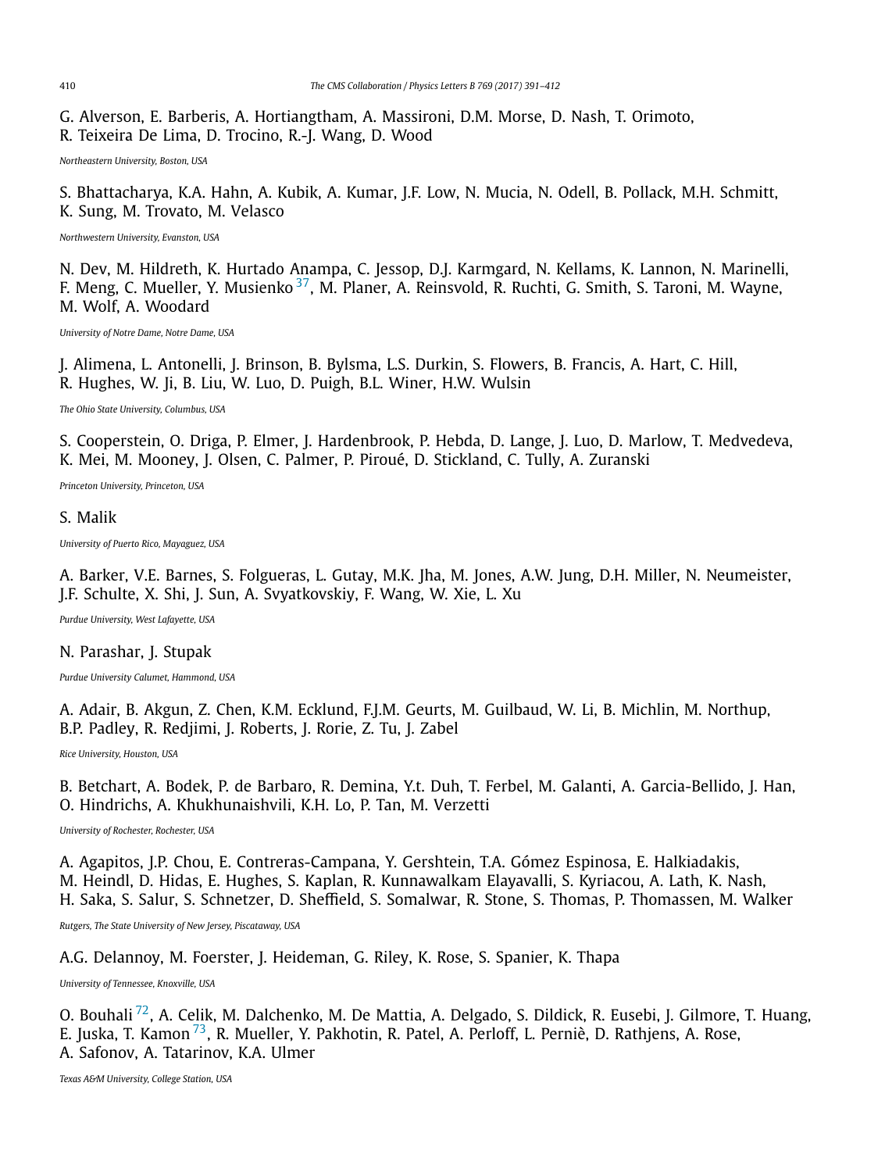G. Alverson, E. Barberis, A. Hortiangtham, A. Massironi, D.M. Morse, D. Nash, T. Orimoto, R. Teixeira De Lima, D. Trocino, R.-J. Wang, D. Wood

*Northeastern University, Boston, USA*

S. Bhattacharya, K.A. Hahn, A. Kubik, A. Kumar, J.F. Low, N. Mucia, N. Odell, B. Pollack, M.H. Schmitt, K. Sung, M. Trovato, M. Velasco

*Northwestern University, Evanston, USA*

N. Dev, M. Hildreth, K. Hurtado Anampa, C. Jessop, D.J. Karmgard, N. Kellams, K. Lannon, N. Marinelli, F. Meng, C. Mueller, Y. Musienko [37,](#page-20-0) M. Planer, A. Reinsvold, R. Ruchti, G. Smith, S. Taroni, M. Wayne, M. Wolf, A. Woodard

*University of Notre Dame, Notre Dame, USA*

J. Alimena, L. Antonelli, J. Brinson, B. Bylsma, L.S. Durkin, S. Flowers, B. Francis, A. Hart, C. Hill, R. Hughes, W. Ji, B. Liu, W. Luo, D. Puigh, B.L. Winer, H.W. Wulsin

*The Ohio State University, Columbus, USA*

S. Cooperstein, O. Driga, P. Elmer, J. Hardenbrook, P. Hebda, D. Lange, J. Luo, D. Marlow, T. Medvedeva, K. Mei, M. Mooney, J. Olsen, C. Palmer, P. Piroué, D. Stickland, C. Tully, A. Zuranski

*Princeton University, Princeton, USA*

S. Malik

*University of Puerto Rico, Mayaguez, USA*

A. Barker, V.E. Barnes, S. Folgueras, L. Gutay, M.K. Jha, M. Jones, A.W. Jung, D.H. Miller, N. Neumeister, J.F. Schulte, X. Shi, J. Sun, A. Svyatkovskiy, F. Wang, W. Xie, L. Xu

*Purdue University, West Lafayette, USA*

N. Parashar, J. Stupak

*Purdue University Calumet, Hammond, USA*

A. Adair, B. Akgun, Z. Chen, K.M. Ecklund, F.J.M. Geurts, M. Guilbaud, W. Li, B. Michlin, M. Northup, B.P. Padley, R. Redjimi, J. Roberts, J. Rorie, Z. Tu, J. Zabel

*Rice University, Houston, USA*

B. Betchart, A. Bodek, P. de Barbaro, R. Demina, Y.t. Duh, T. Ferbel, M. Galanti, A. Garcia-Bellido, J. Han, O. Hindrichs, A. Khukhunaishvili, K.H. Lo, P. Tan, M. Verzetti

*University of Rochester, Rochester, USA*

A. Agapitos, J.P. Chou, E. Contreras-Campana, Y. Gershtein, T.A. Gómez Espinosa, E. Halkiadakis, M. Heindl, D. Hidas, E. Hughes, S. Kaplan, R. Kunnawalkam Elayavalli, S. Kyriacou, A. Lath, K. Nash, H. Saka, S. Salur, S. Schnetzer, D. Sheffield, S. Somalwar, R. Stone, S. Thomas, P. Thomassen, M. Walker

*Rutgers, The State University of New Jersey, Piscataway, USA*

A.G. Delannoy, M. Foerster, J. Heideman, G. Riley, K. Rose, S. Spanier, K. Thapa

*University of Tennessee, Knoxville, USA*

O. Bouhali [72,](#page-21-0) A. Celik, M. Dalchenko, M. De Mattia, A. Delgado, S. Dildick, R. Eusebi, J. Gilmore, T. Huang, E. Juska, T. Kamon [73,](#page-21-0) R. Mueller, Y. Pakhotin, R. Patel, A. Perloff, L. Perniè, D. Rathjens, A. Rose, A. Safonov, A. Tatarinov, K.A. Ulmer

*Texas A&M University, College Station, USA*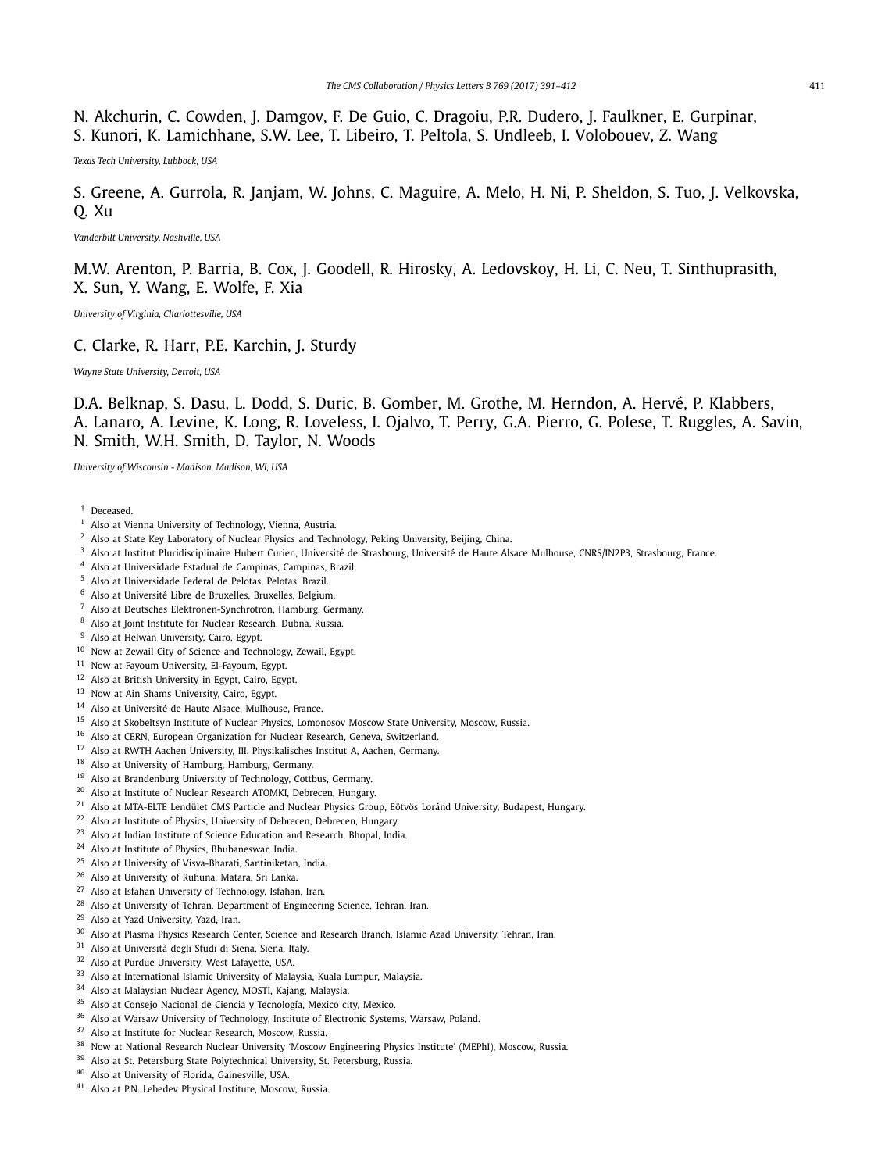<span id="page-20-0"></span>N. Akchurin, C. Cowden, J. Damgov, F. De Guio, C. Dragoiu, P.R. Dudero, J. Faulkner, E. Gurpinar, S. Kunori, K. Lamichhane, S.W. Lee, T. Libeiro, T. Peltola, S. Undleeb, I. Volobouev, Z. Wang

*Texas Tech University, Lubbock, USA*

S. Greene, A. Gurrola, R. Janjam, W. Johns, C. Maguire, A. Melo, H. Ni, P. Sheldon, S. Tuo, J. Velkovska, Q. Xu

*Vanderbilt University, Nashville, USA*

M.W. Arenton, P. Barria, B. Cox, J. Goodell, R. Hirosky, A. Ledovskoy, H. Li, C. Neu, T. Sinthuprasith, X. Sun, Y. Wang, E. Wolfe, F. Xia

*University of Virginia, Charlottesville, USA*

### C. Clarke, R. Harr, P.E. Karchin, J. Sturdy

*Wayne State University, Detroit, USA*

D.A. Belknap, S. Dasu, L. Dodd, S. Duric, B. Gomber, M. Grothe, M. Herndon, A. Hervé, P. Klabbers, A. Lanaro, A. Levine, K. Long, R. Loveless, I. Ojalvo, T. Perry, G.A. Pierro, G. Polese, T. Ruggles, A. Savin, N. Smith, W.H. Smith, D. Taylor, N. Woods

*University of Wisconsin - Madison, Madison, WI, USA*

- † Deceased.
- <sup>1</sup> Also at Vienna University of Technology, Vienna, Austria.
- <sup>2</sup> Also at State Key Laboratory of Nuclear Physics and Technology, Peking University, Beijing, China.
- <sup>3</sup> Also at Institut Pluridisciplinaire Hubert Curien, Université de Strasbourg, Université de Haute Alsace Mulhouse, CNRS/IN2P3, Strasbourg, France.
- <sup>4</sup> Also at Universidade Estadual de Campinas, Campinas, Brazil.
- <sup>5</sup> Also at Universidade Federal de Pelotas, Pelotas, Brazil.
- <sup>6</sup> Also at Université Libre de Bruxelles, Bruxelles, Belgium.
- <sup>7</sup> Also at Deutsches Elektronen-Synchrotron, Hamburg, Germany.
- <sup>8</sup> Also at Joint Institute for Nuclear Research, Dubna, Russia.
- <sup>9</sup> Also at Helwan University, Cairo, Egypt.
- <sup>10</sup> Now at Zewail City of Science and Technology, Zewail, Egypt.
- <sup>11</sup> Now at Fayoum University, El-Fayoum, Egypt.
- <sup>12</sup> Also at British University in Egypt, Cairo, Egypt.
- <sup>13</sup> Now at Ain Shams University, Cairo, Egypt.
- <sup>14</sup> Also at Université de Haute Alsace, Mulhouse, France.
- <sup>15</sup> Also at Skobeltsyn Institute of Nuclear Physics, Lomonosov Moscow State University, Moscow, Russia.
- $^{16}\,$  Also at CERN, European Organization for Nuclear Research, Geneva, Switzerland.
- <sup>17</sup> Also at RWTH Aachen University, III. Physikalisches Institut A, Aachen, Germany.
- <sup>18</sup> Also at University of Hamburg, Hamburg, Germany.
- <sup>19</sup> Also at Brandenburg University of Technology, Cottbus, Germany.
- <sup>20</sup> Also at Institute of Nuclear Research ATOMKI, Debrecen, Hungary.
- $21$  Also at MTA-ELTE Lendület CMS Particle and Nuclear Physics Group, Eötvös Loránd University, Budapest, Hungary.
- <sup>22</sup> Also at Institute of Physics, University of Debrecen, Debrecen, Hungary.
- <sup>23</sup> Also at Indian Institute of Science Education and Research, Bhopal, India.
- <sup>24</sup> Also at Institute of Physics, Bhubaneswar, India.
- <sup>25</sup> Also at University of Visva-Bharati, Santiniketan, India.
- <sup>26</sup> Also at University of Ruhuna, Matara, Sri Lanka.
- <sup>27</sup> Also at Isfahan University of Technology, Isfahan, Iran.
- $28$  Also at University of Tehran, Department of Engineering Science, Tehran, Iran.
- <sup>29</sup> Also at Yazd University, Yazd, Iran.
- <sup>30</sup> Also at Plasma Physics Research Center, Science and Research Branch, Islamic Azad University, Tehran, Iran.
- <sup>31</sup> Also at Università degli Studi di Siena, Siena, Italy.
- <sup>32</sup> Also at Purdue University, West Lafayette, USA.
- <sup>33</sup> Also at International Islamic University of Malaysia, Kuala Lumpur, Malaysia.
- <sup>34</sup> Also at Malaysian Nuclear Agency, MOSTI, Kajang, Malaysia.
- <sup>35</sup> Also at Consejo Nacional de Ciencia y Tecnología, Mexico city, Mexico.
- <sup>36</sup> Also at Warsaw University of Technology, Institute of Electronic Systems, Warsaw, Poland.
- <sup>37</sup> Also at Institute for Nuclear Research, Moscow, Russia.
- <sup>38</sup> Now at National Research Nuclear University 'Moscow Engineering Physics Institute' (MEPhI), Moscow, Russia.
- <sup>39</sup> Also at St. Petersburg State Polytechnical University, St. Petersburg, Russia.
- <sup>40</sup> Also at University of Florida, Gainesville, USA.
- <sup>41</sup> Also at P.N. Lebedev Physical Institute, Moscow, Russia.